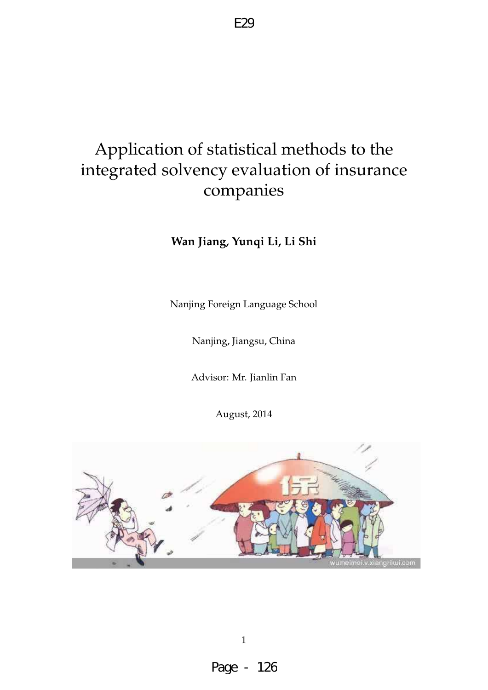# Application of statistical methods to the integrated solvency evaluation of insurance companies

**Wan Jiang, Yunqi Li, Li Shi**

Nanjing Foreign Language School

Nanjing, Jiangsu, China

Advisor: Mr. Jianlin Fan

August, 2014

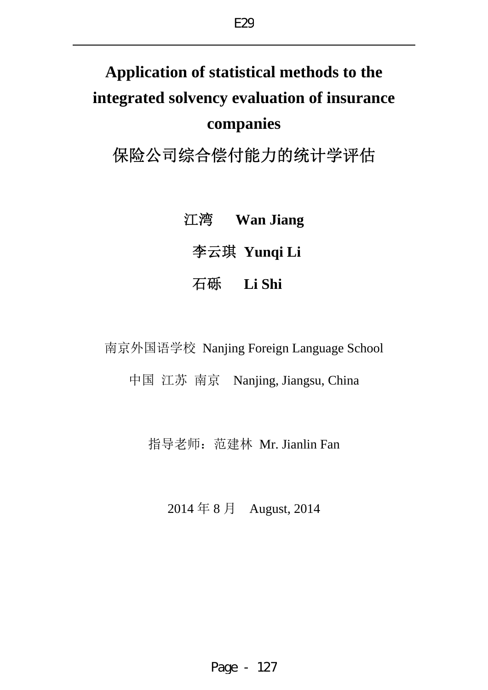# **Application of statistical methods to the integrated solvency evaluation of insurance companies**

保险公司综合偿付能力的统计学评估

江湾 **Wan Jiang** 李云琪 **Yunqi Li** 石砾 **Li Shi** 

南京外国语学校 Nanjing Foreign Language School

中国 江苏 南京 Nanjing, Jiangsu, China

指导老师:范建林 Mr. Jianlin Fan

2014 年 8 月 August, 2014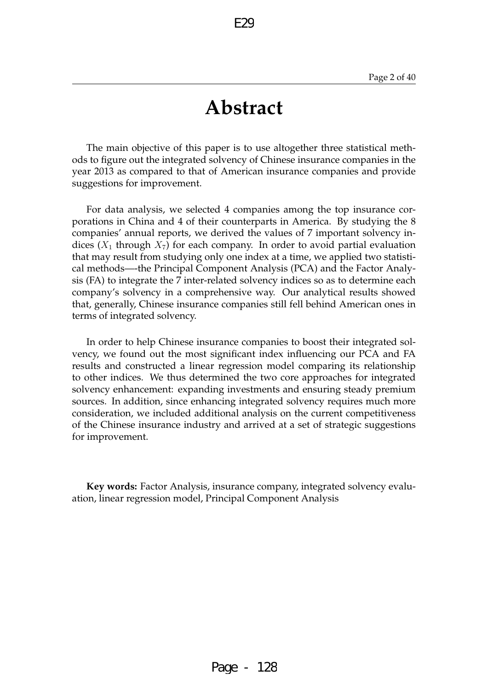# **Abstract**

The main objective of this paper is to use altogether three statistical methods to figure out the integrated solvency of Chinese insurance companies in the year 2013 as compared to that of American insurance companies and provide suggestions for improvement.

For data analysis, we selected 4 companies among the top insurance corporations in China and 4 of their counterparts in America. By studying the 8 companies' annual reports, we derived the values of 7 important solvency indices  $(X_1$  through  $X_7$ ) for each company. In order to avoid partial evaluation that may result from studying only one index at a time, we applied two statistical methods—-the Principal Component Analysis (PCA) and the Factor Analysis (FA) to integrate the 7 inter-related solvency indices so as to determine each company's solvency in a comprehensive way. Our analytical results showed that, generally, Chinese insurance companies still fell behind American ones in terms of integrated solvency.

In order to help Chinese insurance companies to boost their integrated solvency, we found out the most significant index influencing our PCA and FA results and constructed a linear regression model comparing its relationship to other indices. We thus determined the two core approaches for integrated solvency enhancement: expanding investments and ensuring steady premium sources. In addition, since enhancing integrated solvency requires much more consideration, we included additional analysis on the current competitiveness of the Chinese insurance industry and arrived at a set of strategic suggestions for improvement.

**Key words:** Factor Analysis, insurance company, integrated solvency evaluation, linear regression model, Principal Component Analysis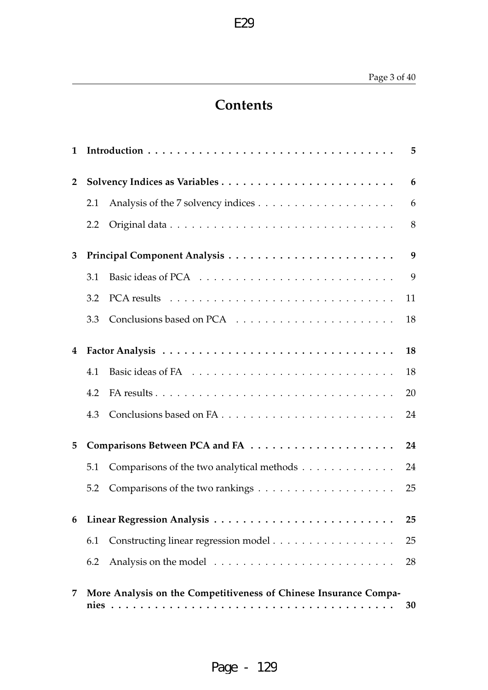# **Contents**

E29

| $\mathbf{1}$   |     |                                                                  | 5  |
|----------------|-----|------------------------------------------------------------------|----|
| $\overline{2}$ |     |                                                                  | 6  |
|                | 2.1 |                                                                  | 6  |
|                | 2.2 |                                                                  | 8  |
| 3              |     |                                                                  | 9  |
|                | 3.1 |                                                                  | 9  |
|                | 3.2 |                                                                  | 11 |
|                | 3.3 |                                                                  | 18 |
| 4              |     |                                                                  | 18 |
|                | 4.1 |                                                                  | 18 |
|                | 4.2 |                                                                  | 20 |
|                | 4.3 |                                                                  | 24 |
| 5              |     |                                                                  | 24 |
|                | 5.1 | Comparisons of the two analytical methods                        | 24 |
|                | 5.2 |                                                                  | 25 |
| 6              |     |                                                                  | 25 |
|                | 6.1 |                                                                  | 25 |
|                | 6.2 |                                                                  | 28 |
| 7              |     | More Analysis on the Competitiveness of Chinese Insurance Compa- | 30 |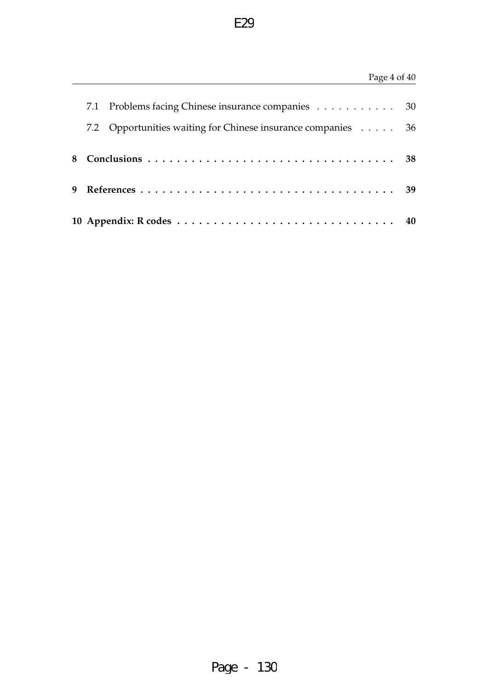# Page 4 of 40

| 7.1 | Problems facing Chinese insurance companies 30               |  |
|-----|--------------------------------------------------------------|--|
|     | 7.2 Opportunities waiting for Chinese insurance companies 36 |  |
|     |                                                              |  |
|     |                                                              |  |
|     |                                                              |  |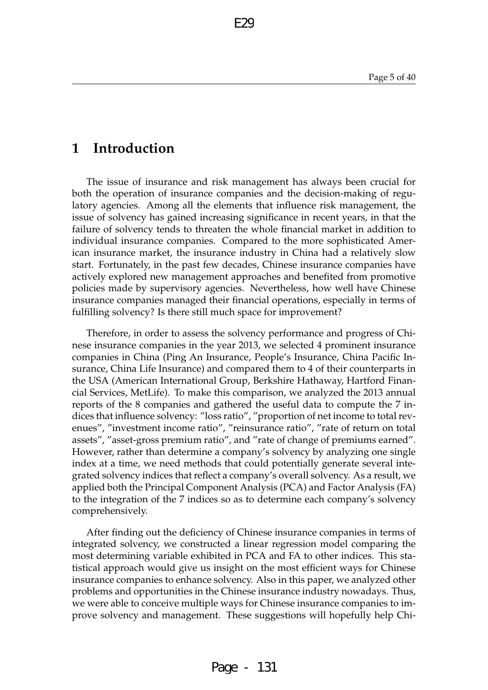# **1 Introduction**

The issue of insurance and risk management has always been crucial for both the operation of insurance companies and the decision-making of regulatory agencies. Among all the elements that influence risk management, the issue of solvency has gained increasing significance in recent years, in that the failure of solvency tends to threaten the whole financial market in addition to individual insurance companies. Compared to the more sophisticated American insurance market, the insurance industry in China had a relatively slow start. Fortunately, in the past few decades, Chinese insurance companies have actively explored new management approaches and benefited from promotive policies made by supervisory agencies. Nevertheless, how well have Chinese insurance companies managed their financial operations, especially in terms of fulfilling solvency? Is there still much space for improvement?

F2C

Therefore, in order to assess the solvency performance and progress of Chinese insurance companies in the year 2013, we selected 4 prominent insurance companies in China (Ping An Insurance, People's Insurance, China Pacific Insurance, China Life Insurance) and compared them to 4 of their counterparts in the USA (American International Group, Berkshire Hathaway, Hartford Financial Services, MetLife). To make this comparison, we analyzed the 2013 annual reports of the 8 companies and gathered the useful data to compute the 7 indices that influence solvency: "loss ratio", "proportion of net income to total revenues", "investment income ratio", "reinsurance ratio", "rate of return on total assets", "asset-gross premium ratio", and "rate of change of premiums earned". However, rather than determine a company's solvency by analyzing one single index at a time, we need methods that could potentially generate several integrated solvency indices that reflect a company's overall solvency. As a result, we applied both the Principal Component Analysis (PCA) and Factor Analysis (FA) to the integration of the 7 indices so as to determine each company's solvency comprehensively.

After finding out the deficiency of Chinese insurance companies in terms of integrated solvency, we constructed a linear regression model comparing the most determining variable exhibited in PCA and FA to other indices. This statistical approach would give us insight on the most efficient ways for Chinese insurance companies to enhance solvency. Also in this paper, we analyzed other problems and opportunities in the Chinese insurance industry nowadays. Thus, we were able to conceive multiple ways for Chinese insurance companies to improve solvency and management. These suggestions will hopefully help Chi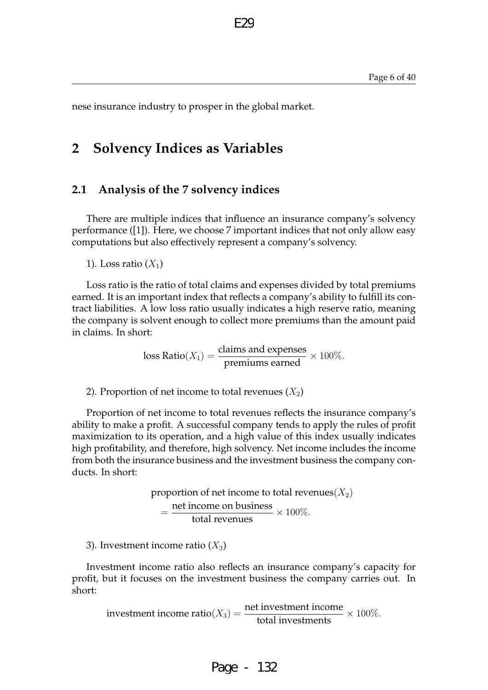nese insurance industry to prosper in the global market.

# **2 Solvency Indices as Variables**

### **2.1 Analysis of the 7 solvency indices**

There are multiple indices that influence an insurance company's solvency performance ([1]). Here, we choose 7 important indices that not only allow easy computations but also effectively represent a company's solvency.

E29

1). Loss ratio  $(X_1)$ 

Loss ratio is the ratio of total claims and expenses divided by total premiums earned. It is an important index that reflects a company's ability to fulfill its contract liabilities. A low loss ratio usually indicates a high reserve ratio, meaning the company is solvent enough to collect more premiums than the amount paid in claims. In short:

loss Ratio $(X_1) = \frac{\text{claims and expenses}}{\text{preminus earned}} \times 100\%.$ 

2). Proportion of net income to total revenues  $(X_2)$ 

Proportion of net income to total revenues reflects the insurance company's ability to make a profit. A successful company tends to apply the rules of profit maximization to its operation, and a high value of this index usually indicates high profitability, and therefore, high solvency. Net income includes the income from both the insurance business and the investment business the company conducts. In short:

> proportion of net income to total revenues( $X_2$ )  $=\frac{\text{net income on business}}{\text{total revenues}} \times 100\%.$

3). Investment income ratio  $(X_3)$ 

Investment income ratio also reflects an insurance company's capacity for profit, but it focuses on the investment business the company carries out. In short:

investment income ratio( $X_3$ ) =  $\frac{\text{net investment income}}{\text{total investments}} \times 100\%$ .

Page - 132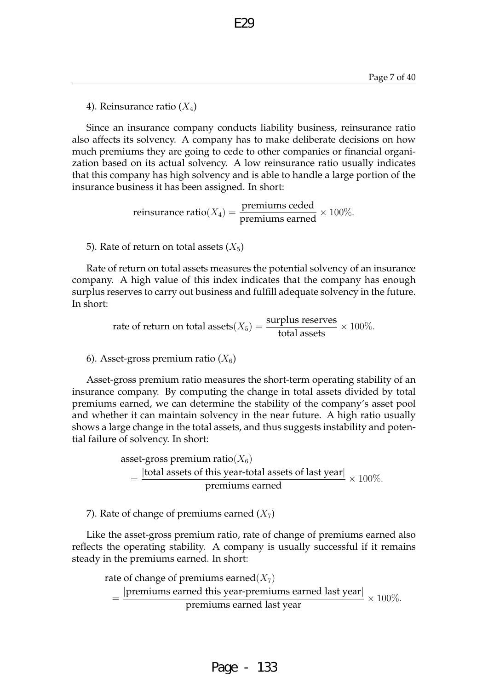4). Reinsurance ratio  $(X_4)$ 

Since an insurance company conducts liability business, reinsurance ratio also affects its solvency. A company has to make deliberate decisions on how much premiums they are going to cede to other companies or financial organization based on its actual solvency. A low reinsurance ratio usually indicates that this company has high solvency and is able to handle a large portion of the insurance business it has been assigned. In short:

E29

reinsurance ratio( $X_4$ ) =  $\frac{\text{preminus ceded}}{\text{preminus earmed}} \times 100\%.$ 

5). Rate of return on total assets  $(X_5)$ 

Rate of return on total assets measures the potential solvency of an insurance company. A high value of this index indicates that the company has enough surplus reserves to carry out business and fulfill adequate solvency in the future. In short:

rate of return on total assets $(X_5) = \frac{\text{surplus reserves}}{\text{total assets}} \times 100\%.$ 

6). Asset-gross premium ratio  $(X_6)$ 

Asset-gross premium ratio measures the short-term operating stability of an insurance company. By computing the change in total assets divided by total premiums earned, we can determine the stability of the company's asset pool and whether it can maintain solvency in the near future. A high ratio usually shows a large change in the total assets, and thus suggests instability and potential failure of solvency. In short:

> asset-gross premium ratio( $X_6$ )  $=\frac{|\text{total assets of this year-total assets of last year}|}{\frac{1}{2}}$  $\frac{100 \text{ year}}{200 \text{ year}} \times 100\%$ .

7). Rate of change of premiums earned  $(X<sub>7</sub>)$ 

Like the asset-gross premium ratio, rate of change of premiums earned also reflects the operating stability. A company is usually successful if it remains steady in the premiums earned. In short:

rate of change of premiums earned $(X_7)$ = |premiums earned this year-premiums earned last year|  $\frac{1}{2}$  and year premiums earned hast year  $\times 100\%$ .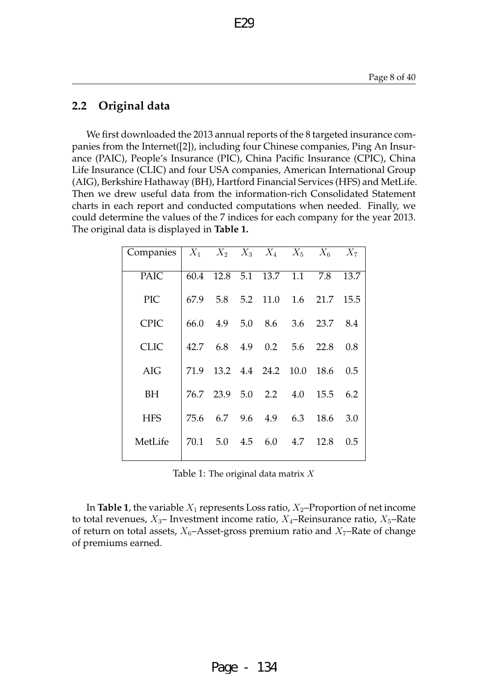# **2.2 Original data**

We first downloaded the 2013 annual reports of the 8 targeted insurance companies from the Internet([2]), including four Chinese companies, Ping An Insurance (PAIC), People's Insurance (PIC), China Pacific Insurance (CPIC), China Life Insurance (CLIC) and four USA companies, American International Group (AIG), Berkshire Hathaway (BH), Hartford Financial Services (HFS) and MetLife. Then we drew useful data from the information-rich Consolidated Statement charts in each report and conducted computations when needed. Finally, we could determine the values of the 7 indices for each company for the year 2013. The original data is displayed in **Table 1.**

E29

| Companies   |      |                  | $X_1$ $X_2$ $X_3$ $X_4$ $X_5$ $X_6$ $X_7$ |     |          |      |
|-------------|------|------------------|-------------------------------------------|-----|----------|------|
| <b>PAIC</b> | 60.4 | $12.8 \quad 5.1$ | 13.7                                      | 1.1 | 7.8      | 13.7 |
| <b>PIC</b>  | 67.9 | 5.8              | 5.2 11.0                                  |     | 1.6 21.7 | 15.5 |
| <b>CPIC</b> | 66.0 | 4.9              | 5.0 8.6 3.6 23.7                          |     |          | 8.4  |
| <b>CLIC</b> |      |                  | 42.7 6.8 4.9 0.2                          |     | 5.6 22.8 | 0.8  |
| AIG         | 71.9 |                  | 13.2 4.4 24.2 10.0                        |     | 18.6     | 0.5  |
| BH          |      |                  | 76.7 23.9 5.0 2.2 4.0                     |     | 15.5     | 6.2  |
| <b>HFS</b>  | 75.6 |                  | 6.7 9.6 4.9 6.3                           |     | 18.6     | 3.0  |
| MetLife     | 70.1 | 5.0              | 4.5 6.0                                   | 4.7 | 12.8     | 0.5  |

Table 1: The original data matrix  $X$ 

In **Table 1**, the variable  $X_1$  represents Loss ratio,  $X_2$ –Proportion of net income to total revenues,  $X_3$ – Investment income ratio,  $X_4$ –Reinsurance ratio,  $X_5$ –Rate of return on total assets,  $X_6$ –Asset-gross premium ratio and  $X_7$ –Rate of change of premiums earned.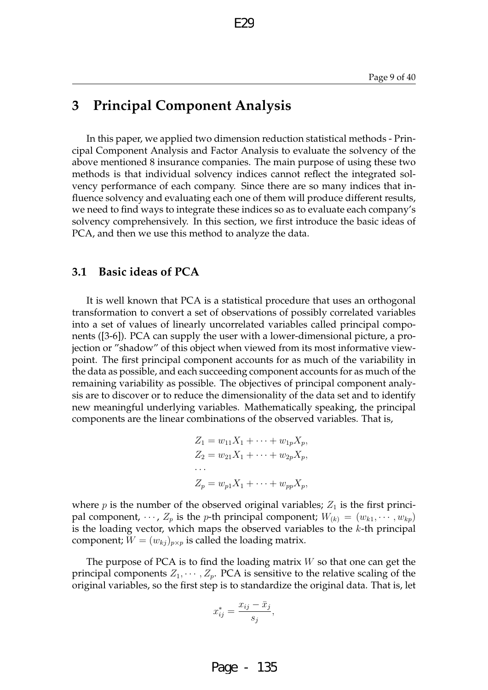# **3 Principal Component Analysis**

In this paper, we applied two dimension reduction statistical methods - Principal Component Analysis and Factor Analysis to evaluate the solvency of the above mentioned 8 insurance companies. The main purpose of using these two methods is that individual solvency indices cannot reflect the integrated solvency performance of each company. Since there are so many indices that influence solvency and evaluating each one of them will produce different results, we need to find ways to integrate these indices so as to evaluate each company's solvency comprehensively. In this section, we first introduce the basic ideas of PCA, and then we use this method to analyze the data.

### **3.1 Basic ideas of PCA**

It is well known that PCA is a statistical procedure that uses an orthogonal transformation to convert a set of observations of possibly correlated variables into a set of values of linearly uncorrelated variables called principal components ([3-6]). PCA can supply the user with a lower-dimensional picture, a projection or "shadow" of this object when viewed from its most informative viewpoint. The first principal component accounts for as much of the variability in the data as possible, and each succeeding component accounts for as much of the remaining variability as possible. The objectives of principal component analysis are to discover or to reduce the dimensionality of the data set and to identify new meaningful underlying variables. Mathematically speaking, the principal components are the linear combinations of the observed variables. That is,

$$
Z_1 = w_{11}X_1 + \dots + w_{1p}X_p,
$$
  
\n
$$
Z_2 = w_{21}X_1 + \dots + w_{2p}X_p,
$$
  
\n
$$
\dots
$$
  
\n
$$
Z_p = w_{p1}X_1 + \dots + w_{pp}X_p,
$$

where  $p$  is the number of the observed original variables;  $Z_1$  is the first principal component,  $\cdots$ ,  $Z_p$  is the p-th principal component;  $W_{(k)} = (w_{k1}, \cdots, w_{kp})$ is the loading vector, which maps the observed variables to the  $k$ -th principal component;  $W = (w_{kj})_{p \times p}$  is called the loading matrix.

The purpose of PCA is to find the loading matrix  $W$  so that one can get the principal components  $Z_1, \dots, Z_p$ . PCA is sensitive to the relative scaling of the original variables, so the first step is to standardize the original data. That is, let

$$
x_{ij}^* = \frac{x_{ij} - \bar{x}_j}{s_j},
$$

Page - 135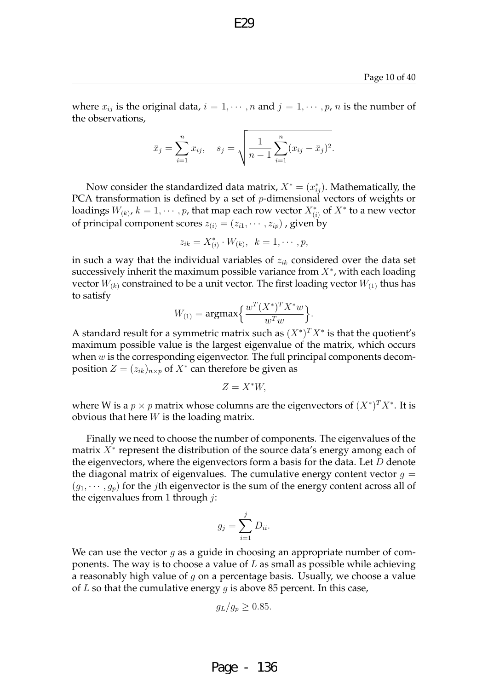where  $x_{ij}$  is the original data,  $i = 1, \dots, n$  and  $j = 1, \dots, p$ , n is the number of the observations,

F2C

$$
\bar{x}_j = \sum_{i=1}^n x_{ij}, \quad s_j = \sqrt{\frac{1}{n-1} \sum_{i=1}^n (x_{ij} - \bar{x}_j)^2}.
$$

Now consider the standardized data matrix,  $X^* = (x^*_{ij})$ . Mathematically, the PCA transformation is defined by a set of  $p$ -dimensional vectors of weights or loadings  $W_{(k)}$ ,  $k=1,\cdots,p$ , that map each row vector  $X^*_{(i)}$  of  $X^*$  to a new vector of principal component scores  $z_{(i)} = (z_{i1}, \cdots, z_{ip})$  , given by

$$
z_{ik} = X_{(i)}^* \cdot W_{(k)}, \ \ k = 1, \cdots, p,
$$

in such a way that the individual variables of  $z_{ik}$  considered over the data set successively inherit the maximum possible variance from  $X^*$ , with each loading vector  $W_{(k)}$  constrained to be a unit vector. The first loading vector  $W_{(1)}$  thus has to satisfy

$$
W_{(1)} = \operatorname{argmax} \left\{ \frac{w^T (X^*)^T X^* w}{w^T w} \right\}.
$$

A standard result for a symmetric matrix such as  $(X^*)^T X^*$  is that the quotient's maximum possible value is the largest eigenvalue of the matrix, which occurs when  $w$  is the corresponding eigenvector. The full principal components decomposition  $Z = (z_{ik})_{n \times p}$  of  $X^*$  can therefore be given as

$$
Z=X^*W,
$$

where W is a  $p \times p$  matrix whose columns are the eigenvectors of  $(X^*)^T X^*$ . It is obvious that here  $W$  is the loading matrix.

Finally we need to choose the number of components. The eigenvalues of the matrix  $X^*$  represent the distribution of the source data's energy among each of the eigenvectors, where the eigenvectors form a basis for the data. Let D denote the diagonal matrix of eigenvalues. The cumulative energy content vector  $g =$  $(g_1, \dots, g_p)$  for the *j*th eigenvector is the sum of the energy content across all of the eigenvalues from 1 through *:* 

$$
g_j = \sum_{i=1}^j D_{ii}.
$$

We can use the vector  $g$  as a guide in choosing an appropriate number of components. The way is to choose a value of  $L$  as small as possible while achieving a reasonably high value of  $g$  on a percentage basis. Usually, we choose a value of  $L$  so that the cumulative energy  $g$  is above 85 percent. In this case,

$$
g_L/g_p \geq 0.85.
$$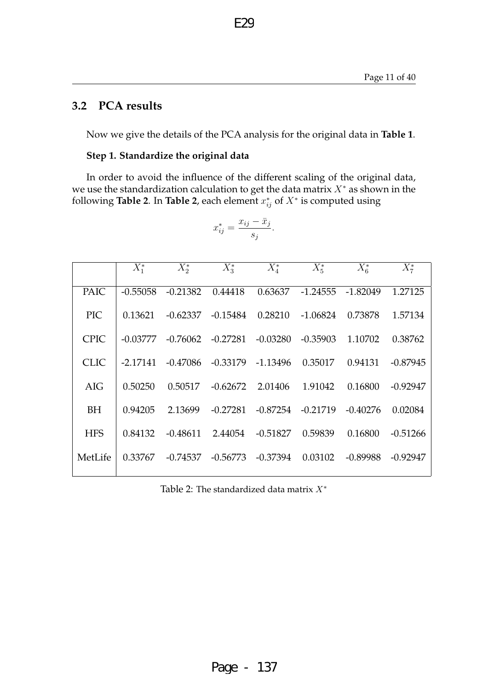# **3.2 PCA results**

Now we give the details of the PCA analysis for the original data in **Table 1**.

### **Step 1. Standardize the original data**

In order to avoid the influence of the different scaling of the original data, we use the standardization calculation to get the data matrix  $X^*$  as shown in the following **Table 2**. In Table 2, each element  $x_{ij}^*$  of  $X^*$  is computed using

$$
x_{ij}^* = \frac{x_{ij} - \bar{x}_j}{s_j}
$$

.

|             | $X_1^*$    | $X_{2}^*$  | $X_3^*$               | $X_4^*$               | $X_5^*$              | $X_6^*$    | $X_7^*$    |
|-------------|------------|------------|-----------------------|-----------------------|----------------------|------------|------------|
| <b>PAIC</b> | $-0.55058$ | $-0.21382$ | 0.44418               | 0.63637               | $-1.24555 - 1.82049$ |            | 1.27125    |
| <b>PIC</b>  | 0.13621    | -0.62337   | -0.15484              | 0.28210               | $-1.06824$           | 0.73878    | 1.57134    |
| <b>CPIC</b> | -0.03777   |            | $-0.76062$ $-0.27281$ | $-0.03280$            | $-0.35903$           | 1.10702    | 0.38762    |
| <b>CLIC</b> | -2.17141   | -0.47086   |                       | $-0.33179$ $-1.13496$ | 0.35017              | 0.94131    | $-0.87945$ |
| AIG         | 0.50250    |            | $0.50517 - 0.62672$   | 2.01406               | 1.91042              | 0.16800    | $-0.92947$ |
| <b>BH</b>   | 0.94205    | 2.13699    | $-0.27281$            | $-0.87254$            | $-0.21719$           | $-0.40276$ | 0.02084    |
| <b>HFS</b>  | 0.84132    | $-0.48611$ | 2.44054               | $-0.51827$            | 0.59839              | 0.16800    | $-0.51266$ |
| MetLife     | 0.33767    | -0.74537   | -0.56773              | $-0.37394$            | 0.03102              | $-0.89988$ | $-0.92947$ |

Table 2: The standardized data matrix  $X^*$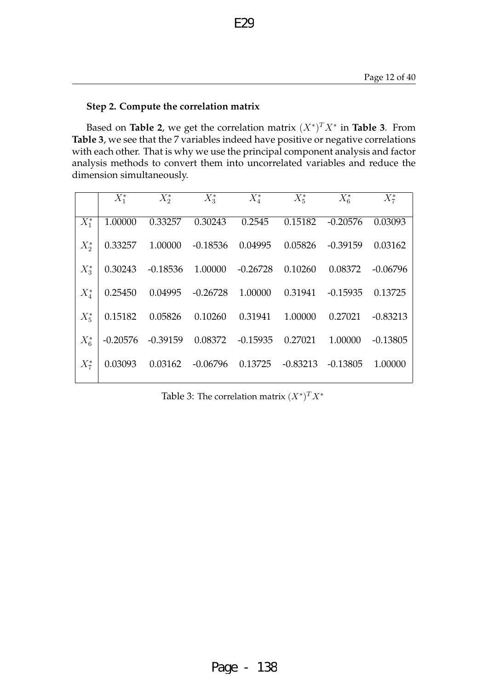### **Step 2. Compute the correlation matrix**

Based on **Table 2**, we get the correlation matrix  $(X^*)^T X^*$  in **Table 3**. From **Table 3**, we see that the 7 variables indeed have positive or negative correlations with each other. That is why we use the principal component analysis and factor analysis methods to convert them into uncorrelated variables and reduce the dimension simultaneously.

E29

|         | $X_1^*$    | $X_2^*$         | $X_3^*$            | $X_4^*$                                   | $X_5^*$    | $X_6^*$    | $X_7^*$          |
|---------|------------|-----------------|--------------------|-------------------------------------------|------------|------------|------------------|
| $X^*_1$ | 1.00000    | 0.33257         |                    | 0.30243 0.2545                            | 0.15182    | $-0.20576$ | 0.03093          |
| $X_2^*$ |            | 0.33257 1.00000 |                    | $-0.18536$ 0.04995                        | 0.05826    | $-0.39159$ | 0.03162          |
| $X^*_3$ | 0.30243    |                 |                    | $-0.18536$ $1.00000$ $-0.26728$ $0.10260$ |            |            | 0.08372 -0.06796 |
| $X^*_4$ | 0.25450    | 0.04995         | $-0.26728$ 1.00000 |                                           | 0.31941    | $-0.15935$ | 0.13725          |
| $X_5^*$ | 0.15182    | 0.05826         | 0.10260            | 0.31941                                   | 1.00000    | 0.27021    | $-0.83213$       |
| $X_6^*$ | $-0.20576$ | -0.39159        |                    | 0.08372 -0.15935 0.27021                  |            | 1.00000    | $-0.13805$       |
| $X_7^*$ | 0.03093    | 0.03162         |                    | $-0.06796$ 0.13725                        | $-0.83213$ | $-0.13805$ | 1.00000          |

Table 3: The correlation matrix  $(X^*)^T X^*$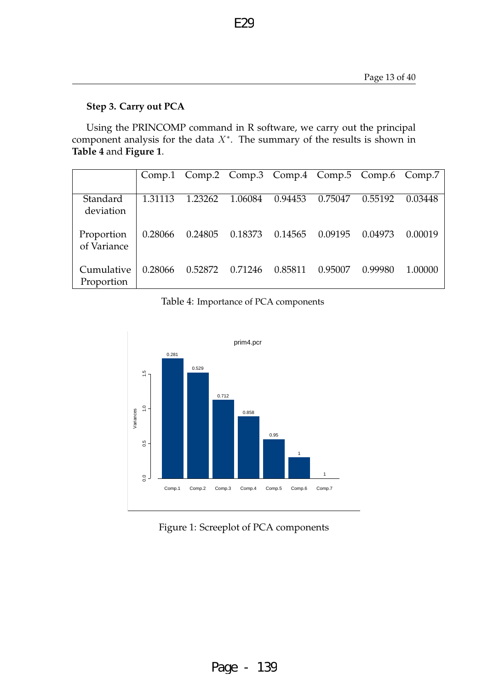## **Step 3. Carry out PCA**

Using the PRINCOMP command in R software, we carry out the principal component analysis for the data  $X^*$ . The summary of the results is shown in **Table 4** and **Figure 1**.

E29

|                           |         | Comp.1 Comp.2 Comp.3 Comp.4 Comp.5 Comp.6 Comp.7 |         |         |         |         |         |
|---------------------------|---------|--------------------------------------------------|---------|---------|---------|---------|---------|
| Standard<br>deviation     | 1.31113 | 1.23262                                          | 1.06084 | 0.94453 | 0.75047 | 0.55192 | 0.03448 |
| Proportion<br>of Variance | 0.28066 | 0.24805                                          | 0.18373 | 0.14565 | 0.09195 | 0.04973 | 0.00019 |
| Cumulative<br>Proportion  | 0.28066 | 0.52872                                          | 0.71246 | 0.85811 | 0.95007 | 0.99980 | 1.00000 |

Table 4: Importance of PCA components



### Figure 1: Screeplot of PCA components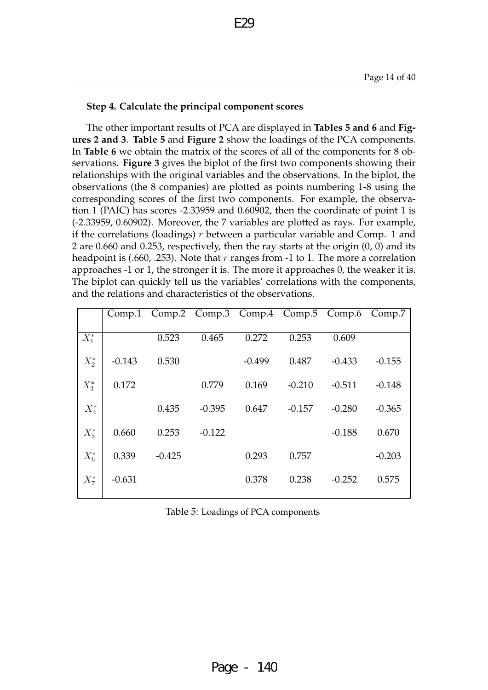#### **Step 4. Calculate the principal component scores**

The other important results of PCA are displayed in **Tables 5 and 6** and **Figures 2 and 3**. **Table 5** and **Figure 2** show the loadings of the PCA components. In **Table 6** we obtain the matrix of the scores of all of the components for 8 observations. **Figure 3** gives the biplot of the first two components showing their relationships with the original variables and the observations. In the biplot, the observations (the 8 companies) are plotted as points numbering 1-8 using the corresponding scores of the first two components. For example, the observation 1 (PAIC) has scores -2.33959 and 0.60902, then the coordinate of point 1 is (-2.33959, 0.60902). Moreover, the 7 variables are plotted as rays. For example, if the correlations (loadings)  $r$  between a particular variable and Comp. 1 and 2 are 0.660 and 0.253, respectively, then the ray starts at the origin (0, 0) and its headpoint is (.660, .253). Note that r ranges from -1 to 1. The more a correlation approaches -1 or 1, the stronger it is. The more it approaches 0, the weaker it is. The biplot can quickly tell us the variables' correlations with the components, and the relations and characteristics of the observations.

E29

| Comp.1   |          |          |          |          |          | Comp.7                             |
|----------|----------|----------|----------|----------|----------|------------------------------------|
|          | 0.523    | 0.465    | 0.272    | 0.253    | 0.609    |                                    |
| $-0.143$ | 0.530    |          | $-0.499$ | 0.487    | $-0.433$ | $-0.155$                           |
| 0.172    |          | 0.779    | 0.169    | $-0.210$ | $-0.511$ | $-0.148$                           |
|          | 0.435    | $-0.395$ | 0.647    | $-0.157$ | $-0.280$ | $-0.365$                           |
| 0.660    | 0.253    | $-0.122$ |          |          | $-0.188$ | 0.670                              |
| 0.339    | $-0.425$ |          | 0.293    | 0.757    |          | $-0.203$                           |
| $-0.631$ |          |          | 0.378    | 0.238    | $-0.252$ | 0.575                              |
|          |          |          |          |          |          | Comp.2 Comp.3 Comp.4 Comp.5 Comp.6 |

Table 5: Loadings of PCA components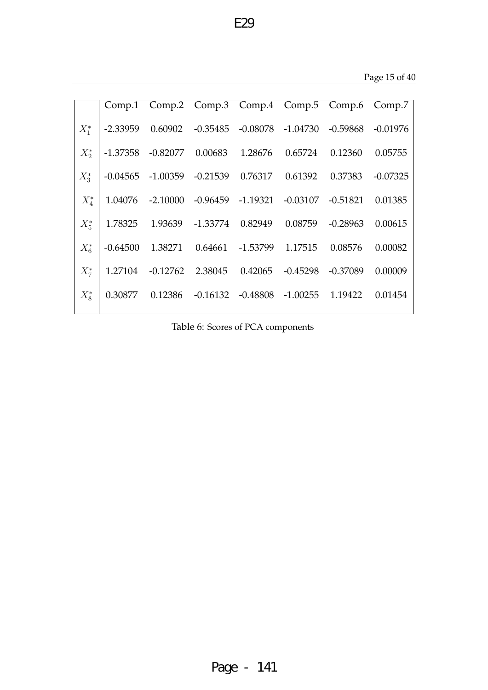|           |            |            |                       | Comp.1 Comp.2 Comp.3 Comp.4 Comp.5 Comp.6 Comp.7 |            |            |            |
|-----------|------------|------------|-----------------------|--------------------------------------------------|------------|------------|------------|
| $X^*_1$   | $-2.33959$ | 0.60902    |                       | $-0.35485$ $-0.08078$ $-1.04730$                 |            | $-0.59868$ | $-0.01976$ |
| $X_{2}^*$ | $-1.37358$ | -0.82077   | 0.00683               | 1.28676                                          | 0.65724    | 0.12360    | 0.05755    |
| $X_3^*$   | $-0.04565$ | -1.00359   | -0.21539              | 0.76317                                          | 0.61392    | 0.37383    | $-0.07325$ |
| $X_4^*$   | 1.04076    | $-2.10000$ | $-0.96459$ $-1.19321$ |                                                  | $-0.03107$ | $-0.51821$ | 0.01385    |
| $X_5^*$   | 1.78325    | 1.93639    | -1.33774              | 0.82949                                          | 0.08759    | $-0.28963$ | 0.00615    |
| $X_6^*$   | $-0.64500$ | 1.38271    | 0.64661               | -1.53799                                         | 1.17515    | 0.08576    | 0.00082    |
| $X_7^*$   | 1.27104    | $-0.12762$ |                       | 2.38045 0.42065                                  | $-0.45298$ | $-0.37089$ | 0.00009    |
| $X_{8}^*$ | 0.30877    | 0.12386    |                       | $-0.16132$ $-0.48808$ $-1.00255$ $1.19422$       |            |            | 0.01454    |

Table 6: Scores of PCA components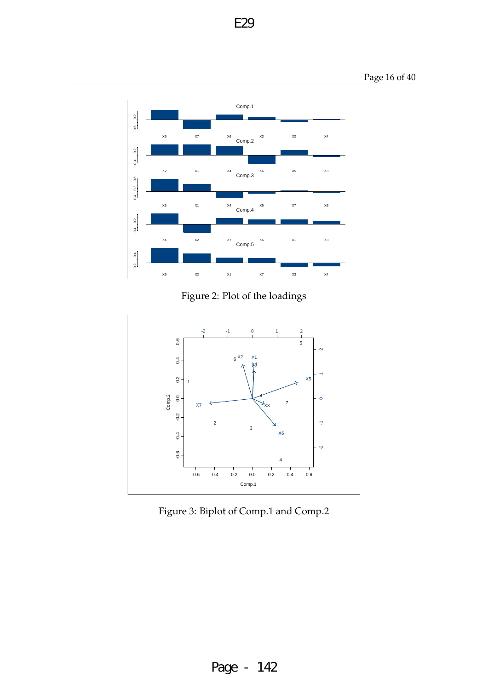Page 16 of 40



Figure 2: Plot of the loadings



Figure 3: Biplot of Comp.1 and Comp.2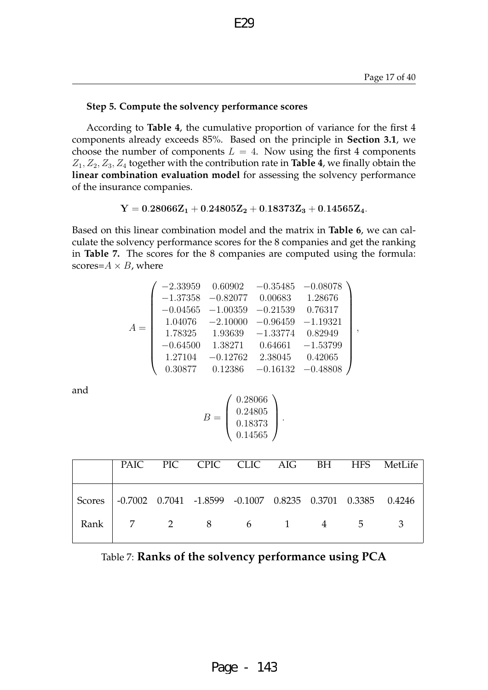,

#### **Step 5. Compute the solvency performance scores**

According to **Table 4**, the cumulative proportion of variance for the first 4 components already exceeds 85%. Based on the principle in **Section 3.1**, we choose the number of components  $L = 4$ . Now using the first 4 components  $Z_1, Z_2, Z_3, Z_4$  together with the contribution rate in **Table 4**, we finally obtain the **linear combination evaluation model** for assessing the solvency performance of the insurance companies.

E29

 $\label{eq:Y} \mathbf{Y}=0.28066\mathbf{Z}_1+0.24805\mathbf{Z}_2+0.18373\mathbf{Z}_3+0.14565\mathbf{Z}_4.$ 

Based on this linear combination model and the matrix in **Table 6**, we can calculate the solvency performance scores for the 8 companies and get the ranking in **Table 7.** The scores for the 8 companies are computed using the formula: scores= $A \times B$ , where

|       |            | $-2.33959$ $0.60902$ $-0.35485$ $-0.08078$ |                     |                    |
|-------|------------|--------------------------------------------|---------------------|--------------------|
|       |            | $-1.37358$ $-0.82077$ 0.00683              |                     | 1.28676            |
|       | $-0.04565$ | $-1.00359$                                 | $-0.21539$          | 0.76317            |
| $A =$ | 1.04076    | $-2.10000 -0.96459$                        |                     | $-1.19321$         |
|       | 1.78325    | 1.93639                                    | $-1.33774$          | 0.82949            |
|       | $-0.64500$ | 1.38271                                    |                     | $0.64661 -1.53799$ |
|       | 1.27104    | $-0.12762$                                 | 2.38045 0.42065     |                    |
|       | 0.30877    | 0.12386                                    | $-0.16132 -0.48808$ |                    |

and

$$
B = \left(\begin{array}{c} 0.28066 \\ 0.24805 \\ 0.18373 \\ 0.14565 \end{array}\right).
$$

|                                                                   |  |  |  | PAIC PIC CPIC CLIC AIG BH HFS MetLife |
|-------------------------------------------------------------------|--|--|--|---------------------------------------|
| Scores -0.7002 0.7041 -1.8599 -0.1007 0.8235 0.3701 0.3385 0.4246 |  |  |  |                                       |
| Rank 7 2 8 6 1 4 5 3                                              |  |  |  |                                       |

| Table 7: Ranks of the solvency performance using PCA |
|------------------------------------------------------|
|------------------------------------------------------|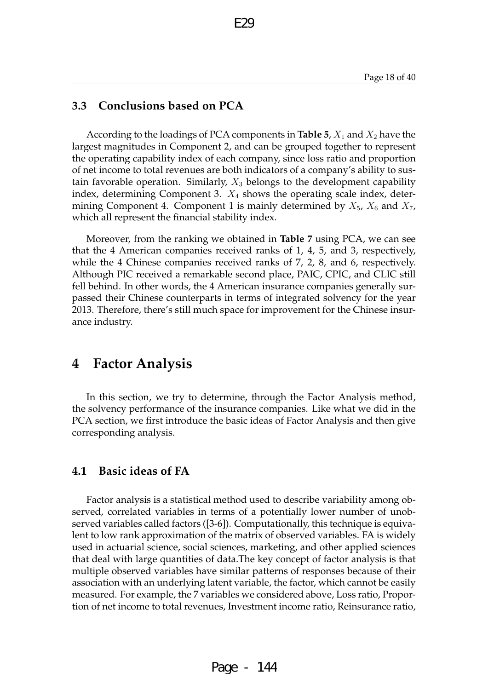### **3.3 Conclusions based on PCA**

According to the loadings of PCA components in **Table 5**,  $X_1$  and  $X_2$  have the largest magnitudes in Component 2, and can be grouped together to represent the operating capability index of each company, since loss ratio and proportion of net income to total revenues are both indicators of a company's ability to sustain favorable operation. Similarly,  $X_3$  belongs to the development capability index, determining Component 3.  $X_4$  shows the operating scale index, determining Component 4. Component 1 is mainly determined by  $X_5$ ,  $X_6$  and  $X_7$ , which all represent the financial stability index.

E29

Moreover, from the ranking we obtained in **Table 7** using PCA, we can see that the 4 American companies received ranks of 1, 4, 5, and 3, respectively, while the 4 Chinese companies received ranks of 7, 2, 8, and 6, respectively. Although PIC received a remarkable second place, PAIC, CPIC, and CLIC still fell behind. In other words, the 4 American insurance companies generally surpassed their Chinese counterparts in terms of integrated solvency for the year 2013. Therefore, there's still much space for improvement for the Chinese insurance industry.

# **4 Factor Analysis**

In this section, we try to determine, through the Factor Analysis method, the solvency performance of the insurance companies. Like what we did in the PCA section, we first introduce the basic ideas of Factor Analysis and then give corresponding analysis.

### **4.1 Basic ideas of FA**

Factor analysis is a statistical method used to describe variability among observed, correlated variables in terms of a potentially lower number of unobserved variables called factors ([3-6]). Computationally, this technique is equivalent to low rank approximation of the matrix of observed variables. FA is widely used in actuarial science, social sciences, marketing, and other applied sciences that deal with large quantities of data.The key concept of factor analysis is that multiple observed variables have similar patterns of responses because of their association with an underlying latent variable, the factor, which cannot be easily measured. For example, the 7 variables we considered above, Loss ratio, Proportion of net income to total revenues, Investment income ratio, Reinsurance ratio,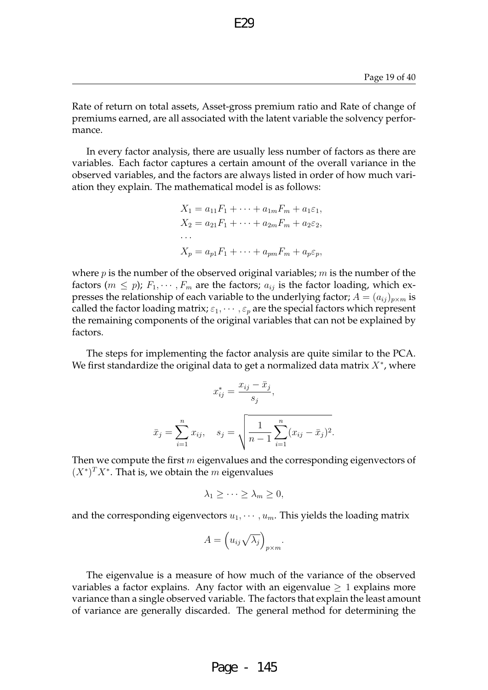Rate of return on total assets, Asset-gross premium ratio and Rate of change of premiums earned, are all associated with the latent variable the solvency performance.

E<sub>29</sub>

In every factor analysis, there are usually less number of factors as there are variables. Each factor captures a certain amount of the overall variance in the observed variables, and the factors are always listed in order of how much variation they explain. The mathematical model is as follows:

$$
X_1 = a_{11}F_1 + \dots + a_{1m}F_m + a_1\varepsilon_1,
$$
  
\n
$$
X_2 = a_{21}F_1 + \dots + a_{2m}F_m + a_2\varepsilon_2,
$$
  
\n...  
\n
$$
X_p = a_{p1}F_1 + \dots + a_{pm}F_m + a_p\varepsilon_p,
$$

where  $p$  is the number of the observed original variables;  $m$  is the number of the factors ( $m \leq p$ );  $F_1, \dots, F_m$  are the factors;  $a_{ij}$  is the factor loading, which expresses the relationship of each variable to the underlying factor;  $A = (a_{ij})_{p \times m}$  is called the factor loading matrix;  $\varepsilon_1, \dots, \varepsilon_n$  are the special factors which represent the remaining components of the original variables that can not be explained by factors.

The steps for implementing the factor analysis are quite similar to the PCA. We first standardize the original data to get a normalized data matrix  $X^*$ , where

$$
x_{ij}^{*} = \frac{x_{ij} - \bar{x}_j}{s_j},
$$
  

$$
\bar{x}_j = \sum_{i=1}^{n} x_{ij}, \quad s_j = \sqrt{\frac{1}{n-1} \sum_{i=1}^{n} (x_{ij} - \bar{x}_j)^2}
$$

.

Then we compute the first  $m$  eigenvalues and the corresponding eigenvectors of  $(X^*)^T X^*$ . That is, we obtain the m eigenvalues

$$
\lambda_1 \geq \cdots \geq \lambda_m \geq 0,
$$

and the corresponding eigenvectors  $u_1, \dots, u_m$ . This yields the loading matrix

$$
A = \left(u_{ij}\sqrt{\lambda_j}\right)_{p\times m}.
$$

The eigenvalue is a measure of how much of the variance of the observed variables a factor explains. Any factor with an eigenvalue  $\geq 1$  explains more variance than a single observed variable. The factors that explain the least amount of variance are generally discarded. The general method for determining the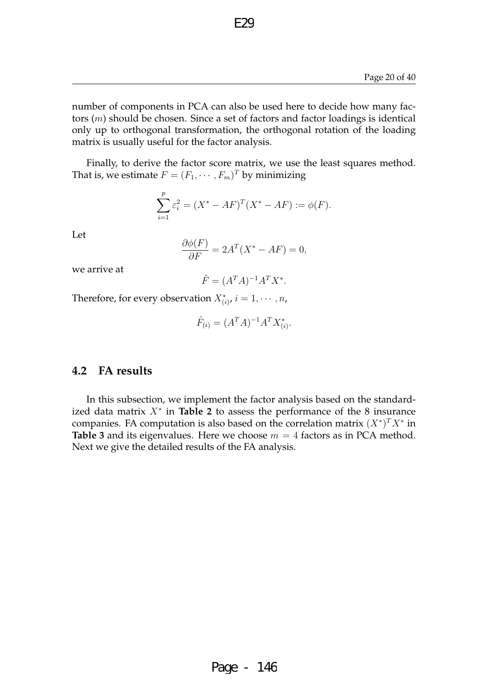number of components in PCA can also be used here to decide how many factors (m) should be chosen. Since a set of factors and factor loadings is identical only up to orthogonal transformation, the orthogonal rotation of the loading matrix is usually useful for the factor analysis.

E29

Finally, to derive the factor score matrix, we use the least squares method. That is, we estimate  $F=(F_1,\cdots,F_m)^T$  by minimizing

$$
\sum_{i=1}^{p} \varepsilon_i^2 = (X^* - AF)^T (X^* - AF) := \phi(F).
$$

Let

$$
\frac{\partial \phi(F)}{\partial F} = 2A^T (X^* - AF) = 0,
$$

we arrive at

$$
\hat{F} = (A^T A)^{-1} A^T X^*.
$$

Therefore, for every observation  $X_{(i)}^*$ ,  $i = 1, \dots, n$ ,

$$
\hat{F}_{(i)} = (A^T A)^{-1} A^T X_{(i)}^*.
$$

### **4.2 FA results**

In this subsection, we implement the factor analysis based on the standardized data matrix  $X^*$  in **Table 2** to assess the performance of the 8 insurance companies. FA computation is also based on the correlation matrix  $(X^*)^T X^*$  in **Table 3** and its eigenvalues. Here we choose  $m = 4$  factors as in PCA method. Next we give the detailed results of the FA analysis.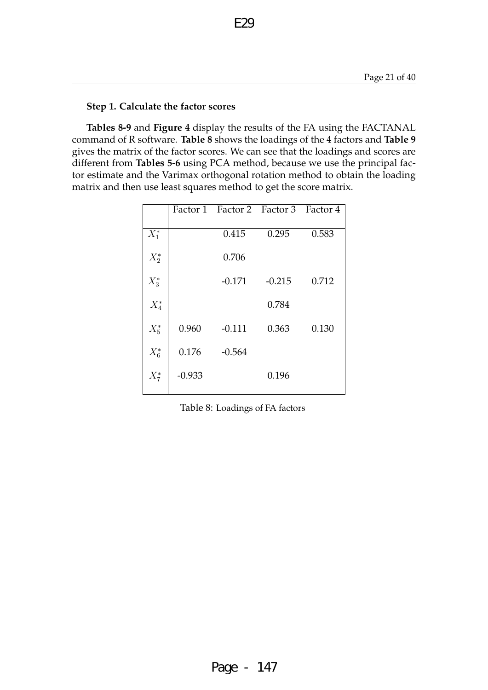### **Step 1. Calculate the factor scores**

**Tables 8-9** and **Figure 4** display the results of the FA using the FACTANAL command of R software. **Table 8** shows the loadings of the 4 factors and **Table 9** gives the matrix of the factor scores. We can see that the loadings and scores are different from **Tables 5-6** using PCA method, because we use the principal factor estimate and the Varimax orthogonal rotation method to obtain the loading matrix and then use least squares method to get the score matrix.

E29

|         |          | Factor 1 Factor 2 Factor 3 Factor 4 |          |       |
|---------|----------|-------------------------------------|----------|-------|
| $X_1^*$ |          | 0.415                               | 0.295    | 0.583 |
| $X_2^*$ |          | 0.706                               |          |       |
| $X_3^*$ |          | $-0.171$                            | $-0.215$ | 0.712 |
| $X_4^*$ |          |                                     | 0.784    |       |
| $X_5^*$ | 0.960    | $-0.111$                            | 0.363    | 0.130 |
| $X_6^*$ | 0.176    | $-0.564$                            |          |       |
| $X_7^*$ | $-0.933$ |                                     | 0.196    |       |
|         |          |                                     |          |       |

Table 8: Loadings of FA factors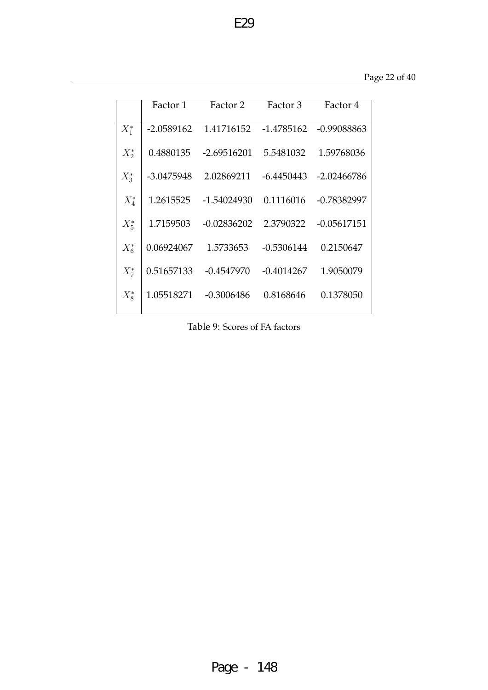|         | Factor 1     | Factor 2      | Factor 3     | Factor 4      |
|---------|--------------|---------------|--------------|---------------|
| $X_1^*$ | $-2.0589162$ | 1.41716152    | $-1.4785162$ | $-0.99088863$ |
| $X_2^*$ | 0.4880135    | $-2.69516201$ | 5.5481032    | 1.59768036    |
| $X_3^*$ | -3.0475948   | 2.02869211    | $-6.4450443$ | $-2.02466786$ |
| $X_4^*$ | 1.2615525    | $-1.54024930$ | 0.1116016    | $-0.78382997$ |
| $X_5^*$ | 1.7159503    | $-0.02836202$ | 2.3790322    | $-0.05617151$ |
| $X_6^*$ | 0.06924067   | 1.5733653     | $-0.5306144$ | 0.2150647     |
| $X_7^*$ | 0.51657133   | $-0.4547970$  | $-0.4014267$ | 1.9050079     |
| $X_8^*$ | 1.05518271   | $-0.3006486$  | 0.8168646    | 0.1378050     |

Table 9: Scores of FA factors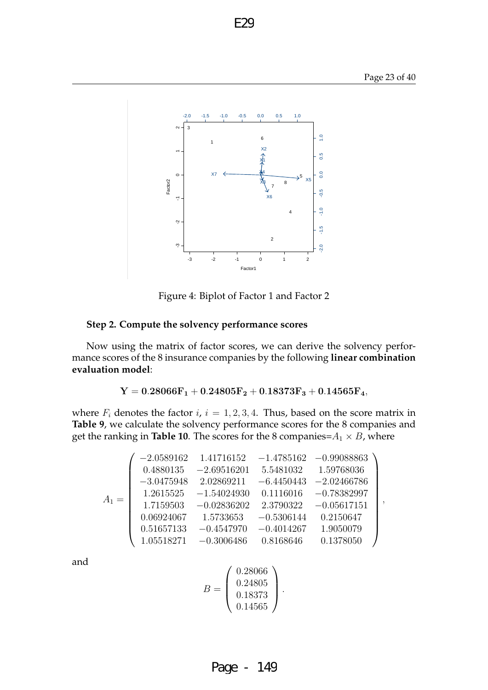

Figure 4: Biplot of Factor 1 and Factor 2

#### **Step 2. Compute the solvency performance scores**

Now using the matrix of factor scores, we can derive the solvency performance scores of the 8 insurance companies by the following **linear combination evaluation model**:

 $Y = 0.28066F_1 + 0.24805F_2 + 0.18373F_3 + 0.14565F_4,$ 

where  $F_i$  denotes the factor  $i, i = 1, 2, 3, 4$ . Thus, based on the score matrix in **Table 9**, we calculate the solvency performance scores for the 8 companies and get the ranking in **Table 10**. The scores for the 8 companies= $A_1 \times B$ , where

$$
A_1=\left(\begin{array}{cccc} -2.0589162 & 1.41716152 & -1.4785162 & -0.99088863 \\ 0.4880135 & -2.69516201 & 5.5481032 & 1.59768036 \\ -3.0475948 & 2.02869211 & -6.4450443 & -2.02466786 \\ 1.2615525 & -1.54024930 & 0.1116016 & -0.78382997 \\ 1.7159503 & -0.02836202 & 2.3790322 & -0.05617151 \\ 0.06924067 & 1.5733653 & -0.5306144 & 0.2150647 \\ 0.51657133 & -0.4547970 & -0.4014267 & 1.9050079 \\ 1.05518271 & -0.3006486 & 0.8168646 & 0.1378050 \end{array}\right),
$$

and

$$
B = \left(\begin{array}{c} 0.28066 \\ 0.24805 \\ 0.18373 \\ 0.14565 \end{array}\right).
$$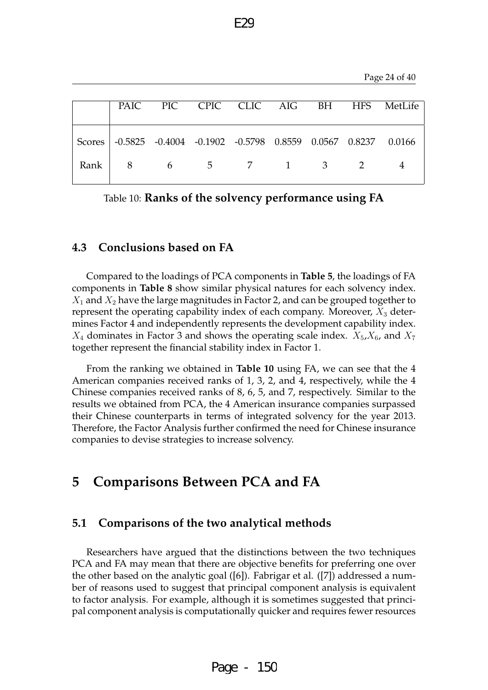|  |                        |  |  | PAIC PIC CPIC CLIC AIG BH HFS MetLife                              |
|--|------------------------|--|--|--------------------------------------------------------------------|
|  |                        |  |  | Scores -0.5825 -0.4004 -0.1902 -0.5798 0.8559 0.0567 0.8237 0.0166 |
|  | Rank   8 6 5 7 1 3 2 4 |  |  |                                                                    |

F<sub>29</sub>

Table 10: **Ranks of the solvency performance using FA**

### **4.3 Conclusions based on FA**

Compared to the loadings of PCA components in **Table 5**, the loadings of FA components in **Table 8** show similar physical natures for each solvency index.  $X_1$  and  $X_2$  have the large magnitudes in Factor 2, and can be grouped together to represent the operating capability index of each company. Moreover,  $X_3$  determines Factor 4 and independently represents the development capability index.  $X_4$  dominates in Factor 3 and shows the operating scale index.  $X_5$ ,  $X_6$ , and  $X_7$ together represent the financial stability index in Factor 1.

From the ranking we obtained in **Table 10** using FA, we can see that the 4 American companies received ranks of 1, 3, 2, and 4, respectively, while the 4 Chinese companies received ranks of 8, 6, 5, and 7, respectively. Similar to the results we obtained from PCA, the 4 American insurance companies surpassed their Chinese counterparts in terms of integrated solvency for the year 2013. Therefore, the Factor Analysis further confirmed the need for Chinese insurance companies to devise strategies to increase solvency.

# **5 Comparisons Between PCA and FA**

### **5.1 Comparisons of the two analytical methods**

Researchers have argued that the distinctions between the two techniques PCA and FA may mean that there are objective benefits for preferring one over the other based on the analytic goal ([6]). Fabrigar et al. ([7]) addressed a number of reasons used to suggest that principal component analysis is equivalent to factor analysis. For example, although it is sometimes suggested that principal component analysis is computationally quicker and requires fewer resources

Page - 150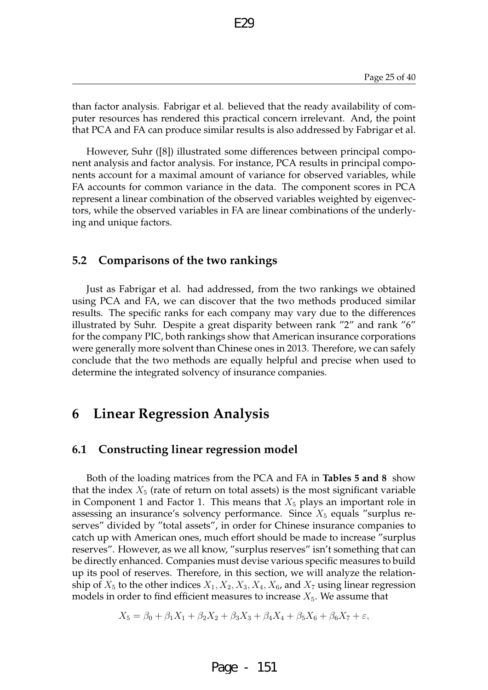than factor analysis. Fabrigar et al. believed that the ready availability of computer resources has rendered this practical concern irrelevant. And, the point that PCA and FA can produce similar results is also addressed by Fabrigar et al.

E29

However, Suhr ([8]) illustrated some differences between principal component analysis and factor analysis. For instance, PCA results in principal components account for a maximal amount of variance for observed variables, while FA accounts for common variance in the data. The component scores in PCA represent a linear combination of the observed variables weighted by eigenvectors, while the observed variables in FA are linear combinations of the underlying and unique factors.

### **5.2 Comparisons of the two rankings**

Just as Fabrigar et al. had addressed, from the two rankings we obtained using PCA and FA, we can discover that the two methods produced similar results. The specific ranks for each company may vary due to the differences illustrated by Suhr. Despite a great disparity between rank "2" and rank "6" for the company PIC, both rankings show that American insurance corporations were generally more solvent than Chinese ones in 2013. Therefore, we can safely conclude that the two methods are equally helpful and precise when used to determine the integrated solvency of insurance companies.

# **6 Linear Regression Analysis**

### **6.1 Constructing linear regression model**

Both of the loading matrices from the PCA and FA in **Tables 5 and 8** show that the index  $X_5$  (rate of return on total assets) is the most significant variable in Component 1 and Factor 1. This means that  $X_5$  plays an important role in assessing an insurance's solvency performance. Since  $X_5$  equals "surplus reserves" divided by "total assets", in order for Chinese insurance companies to catch up with American ones, much effort should be made to increase "surplus reserves". However, as we all know, "surplus reserves" isn't something that can be directly enhanced. Companies must devise various specific measures to build up its pool of reserves. Therefore, in this section, we will analyze the relationship of  $X_5$  to the other indices  $X_1, X_2, X_3, X_4, X_6$ , and  $X_7$  using linear regression models in order to find efficient measures to increase  $X_5$ . We assume that

$$
X_5 = \beta_0 + \beta_1 X_1 + \beta_2 X_2 + \beta_3 X_3 + \beta_4 X_4 + \beta_5 X_6 + \beta_6 X_7 + \varepsilon,
$$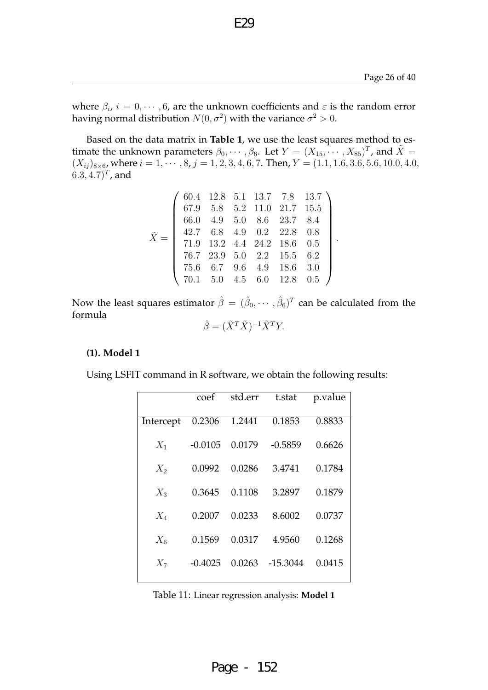.

where  $\beta_i$ ,  $i = 0, \cdots, 6$ , are the unknown coefficients and  $\varepsilon$  is the random error having normal distribution  $N(0,\sigma^2)$  with the variance  $\sigma^2>0.$ 

E29

Based on the data matrix in **Table 1**, we use the least squares method to estimate the unknown parameters  $\beta_0, \cdots, \beta_6$ . Let  $Y = (X_{15}, \cdots, X_{85})^T$ , and  $\tilde{X} =$  $(X_{ij})_{8\times 6}$ , where  $i = 1, \dots, 8$ ,  $j = 1, 2, 3, 4, 6, 7$ . Then,  $Y = (1.1, 1.6, 3.6, 5.6, 10.0, 4.0, 4.0)$  $(6.3, 4.7)^T$ , and

$$
\tilde{X} = \left(\begin{array}{cccccc} 60.4 & 12.8 & 5.1 & 13.7 & 7.8 & 13.7 \\ 67.9 & 5.8 & 5.2 & 11.0 & 21.7 & 15.5 \\ 66.0 & 4.9 & 5.0 & 8.6 & 23.7 & 8.4 \\ 42.7 & 6.8 & 4.9 & 0.2 & 22.8 & 0.8 \\ 71.9 & 13.2 & 4.4 & 24.2 & 18.6 & 0.5 \\ 76.7 & 23.9 & 5.0 & 2.2 & 15.5 & 6.2 \\ 75.6 & 6.7 & 9.6 & 4.9 & 18.6 & 3.0 \\ 70.1 & 5.0 & 4.5 & 6.0 & 12.8 & 0.5 \end{array}\right)
$$

Now the least squares estimator  $\hat{\beta}=(\hat{\beta}_0,\cdots,\hat{\beta}_6)^T$  can be calculated from the formula

$$
\hat{\beta} = (\tilde{X}^T \tilde{X})^{-1} \tilde{X}^T Y.
$$

#### **(1). Model 1**

Using LSFIT command in R software, we obtain the following results:

|           | coef      | std.err | t.stat    | p.value |
|-----------|-----------|---------|-----------|---------|
| Intercept | 0.2306    | 1.2441  | 0.1853    | 0.8833  |
| $X_1$     | $-0.0105$ | 0.0179  | $-0.5859$ | 0.6626  |
| $X_2$     | 0.0992    | 0.0286  | 3.4741    | 0.1784  |
| $X_3$     | 0.3645    | 0.1108  | 3.2897    | 0.1879  |
| $X_4$     | 0.2007    | 0.0233  | 8.6002    | 0.0737  |
| $X_6$     | 0.1569    | 0.0317  | 4.9560    | 0.1268  |
| $X_7$     | $-0.4025$ | 0.0263  | -15.3044  | 0.0415  |
|           |           |         |           |         |

Table 11: Linear regression analysis: **Model 1**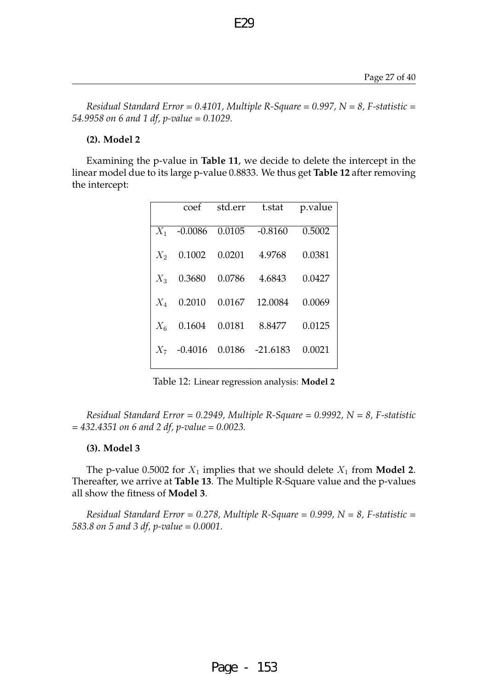*Residual Standard Error = 0.4101, Multiple R-Square = 0.997, N = 8, F-statistic = 54.9958 on 6 and 1 df, p-value = 0.1029.*

E<sub>29</sub>

### **(2). Model 2**

Examining the p-value in **Table 11**, we decide to delete the intercept in the linear model due to its large p-value 0.8833. We thus get **Table 12** after removing the intercept:

|       |                     | coef std.err t.stat           | p.value |
|-------|---------------------|-------------------------------|---------|
|       |                     | $X_1$ -0.0086 0.0105 -0.8160  | 0.5002  |
|       |                     | $X_2$ 0.1002 0.0201 4.9768    | 0.0381  |
|       |                     | $X_3$ 0.3680 0.0786 4.6843    | 0.0427  |
|       | $X_4$ 0.2010 0.0167 | 12.0084                       | 0.0069  |
| $X_6$ |                     | 0.1604  0.0181  8.8477        | 0.0125  |
|       |                     | $X_7$ -0.4016 0.0186 -21.6183 | 0.0021  |
|       |                     |                               |         |

Table 12: Linear regression analysis: **Model 2**

*Residual Standard Error = 0.2949, Multiple R-Square = 0.9992, N = 8, F-statistic = 432.4351 on 6 and 2 df, p-value = 0.0023.*

#### **(3). Model 3**

The p-value 0.5002 for  $X_1$  implies that we should delete  $X_1$  from **Model 2**. Thereafter, we arrive at **Table 13**. The Multiple R-Square value and the p-values all show the fitness of **Model 3**.

*Residual Standard Error = 0.278, Multiple R-Square = 0.999, N = 8, F-statistic = 583.8 on 5 and 3 df, p-value = 0.0001.*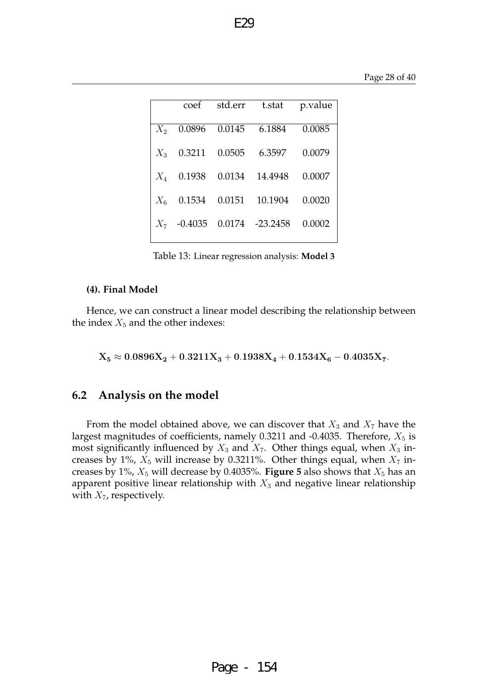|       | coef          | std.err | t.stat          | p.value |
|-------|---------------|---------|-----------------|---------|
| $X_2$ | 0.0896        | 0.0145  | 6.1884          | 0.0085  |
| $X_3$ | 0.3211        | 0.0505  | 6.3597          | 0.0079  |
| $X_4$ | 0.1938        | 0.0134  | 14.4948         | 0.0007  |
| $X_6$ | 0.1534        | 0.0151  | 10.1904         | 0.0020  |
|       | $X_7$ -0.4035 |         | 0.0174 -23.2458 | 0.0002  |
|       |               |         |                 |         |

F<sub>29</sub>

Table 13: Linear regression analysis: **Model 3**

#### **(4). Final Model**

Hence, we can construct a linear model describing the relationship between the index  $X_5$  and the other indexes:

 $X_5 \approx 0.0896 X_2 + 0.3211 X_3 + 0.1938 X_4 + 0.1534 X_6 - 0.4035 X_7.$ 

### **6.2 Analysis on the model**

From the model obtained above, we can discover that  $X_3$  and  $X_7$  have the largest magnitudes of coefficients, namely 0.3211 and -0.4035. Therefore,  $X_5$  is most significantly influenced by  $X_3$  and  $X_7$ . Other things equal, when  $X_3$  increases by 1%,  $X_5$  will increase by 0.3211%. Other things equal, when  $X_7$  increases by  $1\%$ ,  $X_5$  will decrease by 0.4035%. **Figure 5** also shows that  $X_5$  has an apparent positive linear relationship with  $X_3$  and negative linear relationship with  $X_7$ , respectively.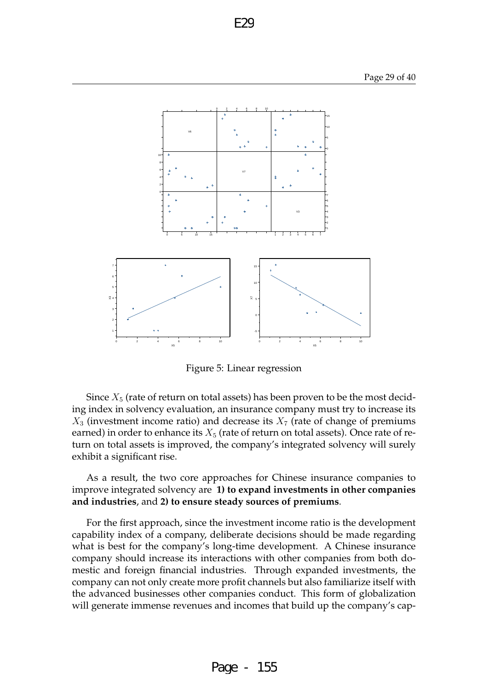

Figure 5: Linear regression

Since  $X_5$  (rate of return on total assets) has been proven to be the most deciding index in solvency evaluation, an insurance company must try to increase its  $X_3$  (investment income ratio) and decrease its  $X_7$  (rate of change of premiums earned) in order to enhance its  $X_5$  (rate of return on total assets). Once rate of return on total assets is improved, the company's integrated solvency will surely exhibit a significant rise.

As a result, the two core approaches for Chinese insurance companies to improve integrated solvency are **1) to expand investments in other companies and industries**, and **2) to ensure steady sources of premiums**.

For the first approach, since the investment income ratio is the development capability index of a company, deliberate decisions should be made regarding what is best for the company's long-time development. A Chinese insurance company should increase its interactions with other companies from both domestic and foreign financial industries. Through expanded investments, the company can not only create more profit channels but also familiarize itself with the advanced businesses other companies conduct. This form of globalization will generate immense revenues and incomes that build up the company's cap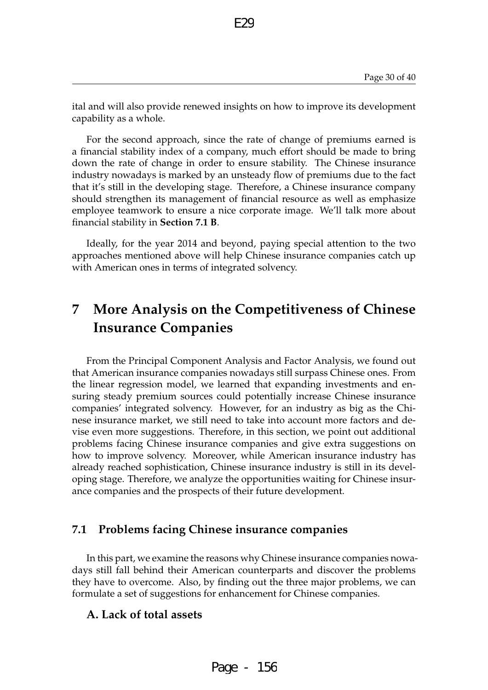ital and will also provide renewed insights on how to improve its development capability as a whole.

E29

For the second approach, since the rate of change of premiums earned is a financial stability index of a company, much effort should be made to bring down the rate of change in order to ensure stability. The Chinese insurance industry nowadays is marked by an unsteady flow of premiums due to the fact that it's still in the developing stage. Therefore, a Chinese insurance company should strengthen its management of financial resource as well as emphasize employee teamwork to ensure a nice corporate image. We'll talk more about financial stability in **Section 7.1 B**.

Ideally, for the year 2014 and beyond, paying special attention to the two approaches mentioned above will help Chinese insurance companies catch up with American ones in terms of integrated solvency.

# **7 More Analysis on the Competitiveness of Chinese Insurance Companies**

From the Principal Component Analysis and Factor Analysis, we found out that American insurance companies nowadays still surpass Chinese ones. From the linear regression model, we learned that expanding investments and ensuring steady premium sources could potentially increase Chinese insurance companies' integrated solvency. However, for an industry as big as the Chinese insurance market, we still need to take into account more factors and devise even more suggestions. Therefore, in this section, we point out additional problems facing Chinese insurance companies and give extra suggestions on how to improve solvency. Moreover, while American insurance industry has already reached sophistication, Chinese insurance industry is still in its developing stage. Therefore, we analyze the opportunities waiting for Chinese insurance companies and the prospects of their future development.

### **7.1 Problems facing Chinese insurance companies**

In this part, we examine the reasons why Chinese insurance companies nowadays still fall behind their American counterparts and discover the problems they have to overcome. Also, by finding out the three major problems, we can formulate a set of suggestions for enhancement for Chinese companies.

### **A. Lack of total assets**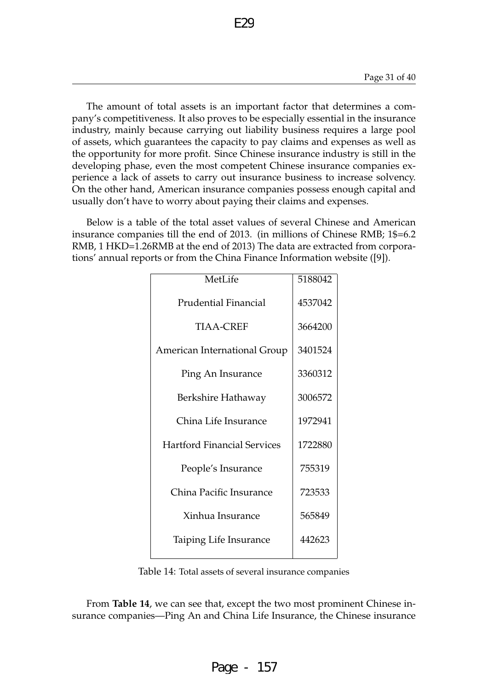The amount of total assets is an important factor that determines a company's competitiveness. It also proves to be especially essential in the insurance industry, mainly because carrying out liability business requires a large pool of assets, which guarantees the capacity to pay claims and expenses as well as the opportunity for more profit. Since Chinese insurance industry is still in the developing phase, even the most competent Chinese insurance companies experience a lack of assets to carry out insurance business to increase solvency. On the other hand, American insurance companies possess enough capital and usually don't have to worry about paying their claims and expenses.

Below is a table of the total asset values of several Chinese and American insurance companies till the end of 2013. (in millions of Chinese RMB; 1\$=6.2 RMB, 1 HKD=1.26RMB at the end of 2013) The data are extracted from corporations' annual reports or from the China Finance Information website ([9]).

| MetLife                             | 5188042 |
|-------------------------------------|---------|
| <b>Prudential Financial</b>         | 4537042 |
| <b>TIAA-CREF</b>                    | 3664200 |
| <b>American International Group</b> | 3401524 |
| Ping An Insurance                   | 3360312 |
| Berkshire Hathaway                  | 3006572 |
| China Life Insurance                | 1972941 |
| <b>Hartford Financial Services</b>  | 1722880 |
| People's Insurance                  | 755319  |
| China Pacific Insurance             | 723533  |
| Xinhua Insurance                    | 565849  |
| Taiping Life Insurance              | 442623  |
|                                     |         |

Table 14: Total assets of several insurance companies

From **Table 14**, we can see that, except the two most prominent Chinese insurance companies—Ping An and China Life Insurance, the Chinese insurance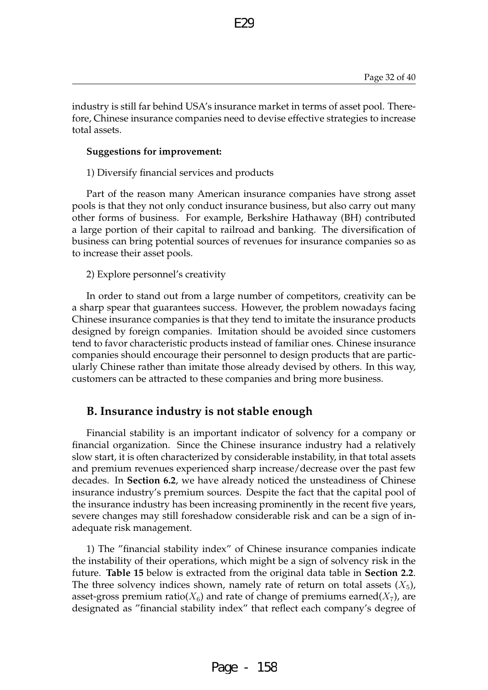industry is still far behind USA's insurance market in terms of asset pool. Therefore, Chinese insurance companies need to devise effective strategies to increase total assets.

E29

#### **Suggestions for improvement:**

1) Diversify financial services and products

Part of the reason many American insurance companies have strong asset pools is that they not only conduct insurance business, but also carry out many other forms of business. For example, Berkshire Hathaway (BH) contributed a large portion of their capital to railroad and banking. The diversification of business can bring potential sources of revenues for insurance companies so as to increase their asset pools.

2) Explore personnel's creativity

In order to stand out from a large number of competitors, creativity can be a sharp spear that guarantees success. However, the problem nowadays facing Chinese insurance companies is that they tend to imitate the insurance products designed by foreign companies. Imitation should be avoided since customers tend to favor characteristic products instead of familiar ones. Chinese insurance companies should encourage their personnel to design products that are particularly Chinese rather than imitate those already devised by others. In this way, customers can be attracted to these companies and bring more business.

### **B. Insurance industry is not stable enough**

Financial stability is an important indicator of solvency for a company or financial organization. Since the Chinese insurance industry had a relatively slow start, it is often characterized by considerable instability, in that total assets and premium revenues experienced sharp increase/decrease over the past few decades. In **Section 6.2**, we have already noticed the unsteadiness of Chinese insurance industry's premium sources. Despite the fact that the capital pool of the insurance industry has been increasing prominently in the recent five years, severe changes may still foreshadow considerable risk and can be a sign of inadequate risk management.

1) The "financial stability index" of Chinese insurance companies indicate the instability of their operations, which might be a sign of solvency risk in the future. **Table 15** below is extracted from the original data table in **Section 2.2**. The three solvency indices shown, namely rate of return on total assets  $(X_5)$ , asset-gross premium ratio( $X_6$ ) and rate of change of premiums earned( $X_7$ ), are designated as "financial stability index" that reflect each company's degree of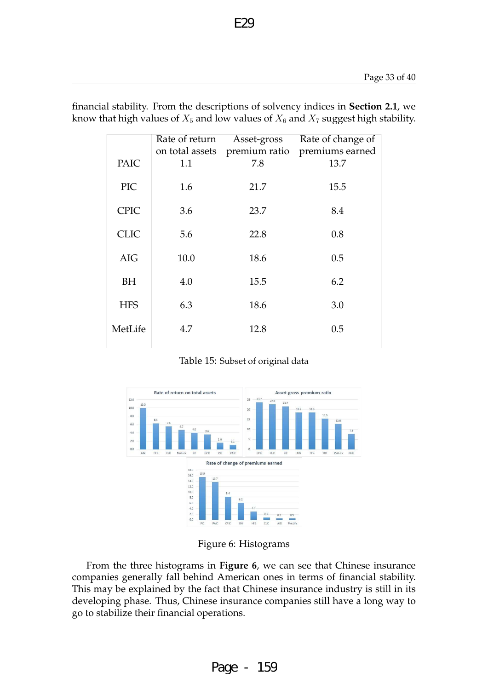|             | Rate of return<br>on total assets | Asset-gross<br>premium ratio | Rate of change of<br>premiums earned |
|-------------|-----------------------------------|------------------------------|--------------------------------------|
| <b>PAIC</b> | 1.1                               | 7.8                          | 13.7                                 |
| PIC         | 1.6                               | 21.7                         | 15.5                                 |
| <b>CPIC</b> | 3.6                               | 23.7                         | 8.4                                  |
| <b>CLIC</b> | 5.6                               | 22.8                         | 0.8                                  |
| <b>AIG</b>  | 10.0                              | 18.6                         | 0.5                                  |
| BH          | 4.0                               | 15.5                         | 6.2                                  |
| <b>HFS</b>  | 6.3                               | 18.6                         | 3.0                                  |
| MetLife     | 4.7                               | 12.8                         | 0.5                                  |

financial stability. From the descriptions of solvency indices in **Section 2.1**, we know that high values of  $X_5$  and low values of  $X_6$  and  $X_7$  suggest high stability.

E29

Table 15: Subset of original data



Figure 6: Histograms

From the three histograms in **Figure 6**, we can see that Chinese insurance companies generally fall behind American ones in terms of financial stability. This may be explained by the fact that Chinese insurance industry is still in its developing phase. Thus, Chinese insurance companies still have a long way to go to stabilize their financial operations.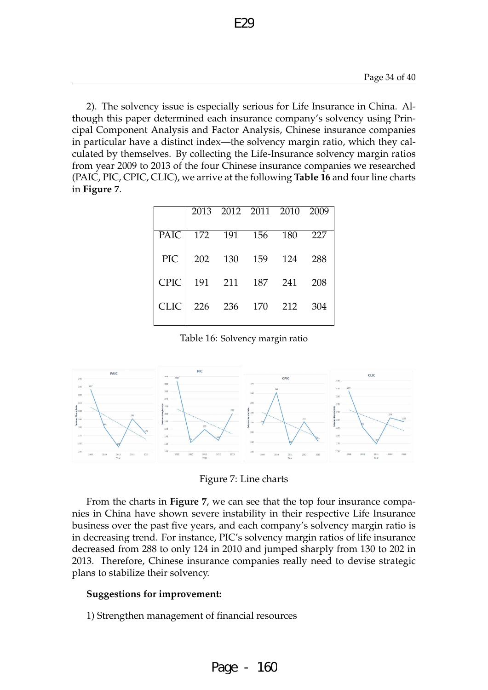2). The solvency issue is especially serious for Life Insurance in China. Although this paper determined each insurance company's solvency using Principal Component Analysis and Factor Analysis, Chinese insurance companies in particular have a distinct index—the solvency margin ratio, which they calculated by themselves. By collecting the Life-Insurance solvency margin ratios from year 2009 to 2013 of the four Chinese insurance companies we researched (PAIC, PIC, CPIC, CLIC), we arrive at the following **Table 16** and four line charts in **Figure 7**.

|             |     | 2013 2012 2011 2010 |     |     | 2009 |
|-------------|-----|---------------------|-----|-----|------|
| <b>PAIC</b> | 172 | 191                 | 156 | 180 | 227  |
| <b>PIC</b>  | 202 | 130                 | 159 | 124 | 288  |
| <b>CPIC</b> | 191 | 211                 | 187 | 241 | 208  |
| <b>CLIC</b> | 226 | 236                 | 170 | 212 | 304  |

Table 16: Solvency margin ratio



Figure 7: Line charts

From the charts in **Figure 7**, we can see that the top four insurance companies in China have shown severe instability in their respective Life Insurance business over the past five years, and each company's solvency margin ratio is in decreasing trend. For instance, PIC's solvency margin ratios of life insurance decreased from 288 to only 124 in 2010 and jumped sharply from 130 to 202 in 2013. Therefore, Chinese insurance companies really need to devise strategic plans to stabilize their solvency.

#### **Suggestions for improvement:**

1) Strengthen management of financial resources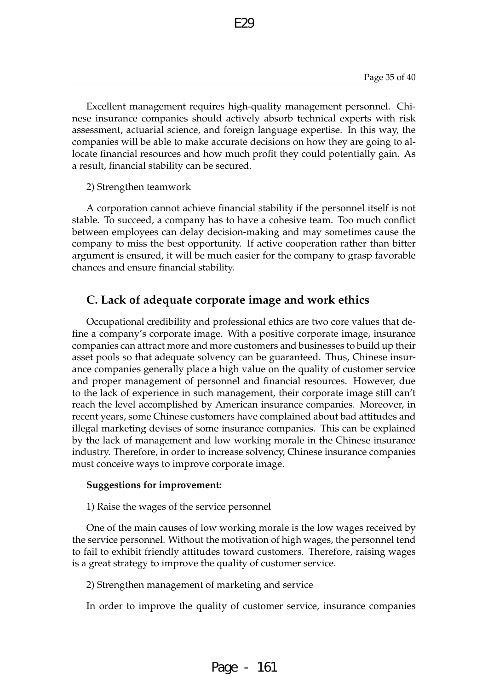Excellent management requires high-quality management personnel. Chinese insurance companies should actively absorb technical experts with risk assessment, actuarial science, and foreign language expertise. In this way, the companies will be able to make accurate decisions on how they are going to allocate financial resources and how much profit they could potentially gain. As a result, financial stability can be secured.

E29

2) Strengthen teamwork

A corporation cannot achieve financial stability if the personnel itself is not stable. To succeed, a company has to have a cohesive team. Too much conflict between employees can delay decision-making and may sometimes cause the company to miss the best opportunity. If active cooperation rather than bitter argument is ensured, it will be much easier for the company to grasp favorable chances and ensure financial stability.

## **C. Lack of adequate corporate image and work ethics**

Occupational credibility and professional ethics are two core values that define a company's corporate image. With a positive corporate image, insurance companies can attract more and more customers and businesses to build up their asset pools so that adequate solvency can be guaranteed. Thus, Chinese insurance companies generally place a high value on the quality of customer service and proper management of personnel and financial resources. However, due to the lack of experience in such management, their corporate image still can't reach the level accomplished by American insurance companies. Moreover, in recent years, some Chinese customers have complained about bad attitudes and illegal marketing devises of some insurance companies. This can be explained by the lack of management and low working morale in the Chinese insurance industry. Therefore, in order to increase solvency, Chinese insurance companies must conceive ways to improve corporate image.

#### **Suggestions for improvement:**

1) Raise the wages of the service personnel

One of the main causes of low working morale is the low wages received by the service personnel. Without the motivation of high wages, the personnel tend to fail to exhibit friendly attitudes toward customers. Therefore, raising wages is a great strategy to improve the quality of customer service.

2) Strengthen management of marketing and service

In order to improve the quality of customer service, insurance companies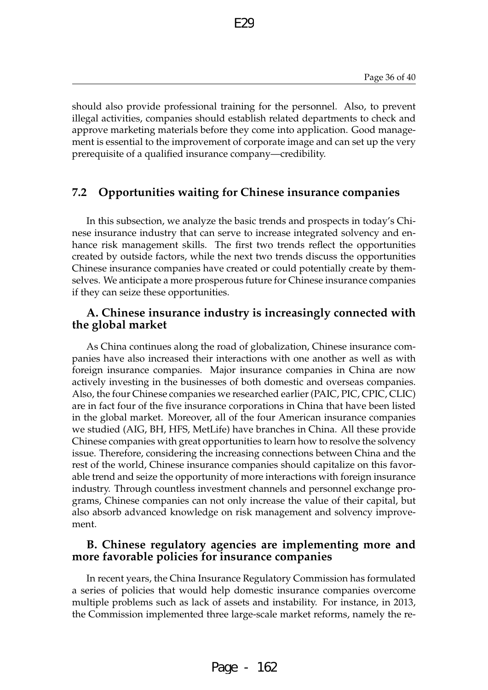should also provide professional training for the personnel. Also, to prevent illegal activities, companies should establish related departments to check and approve marketing materials before they come into application. Good management is essential to the improvement of corporate image and can set up the very prerequisite of a qualified insurance company—credibility.

E29

### **7.2 Opportunities waiting for Chinese insurance companies**

In this subsection, we analyze the basic trends and prospects in today's Chinese insurance industry that can serve to increase integrated solvency and enhance risk management skills. The first two trends reflect the opportunities created by outside factors, while the next two trends discuss the opportunities Chinese insurance companies have created or could potentially create by themselves. We anticipate a more prosperous future for Chinese insurance companies if they can seize these opportunities.

### **A. Chinese insurance industry is increasingly connected with the global market**

As China continues along the road of globalization, Chinese insurance companies have also increased their interactions with one another as well as with foreign insurance companies. Major insurance companies in China are now actively investing in the businesses of both domestic and overseas companies. Also, the four Chinese companies we researched earlier (PAIC, PIC, CPIC, CLIC) are in fact four of the five insurance corporations in China that have been listed in the global market. Moreover, all of the four American insurance companies we studied (AIG, BH, HFS, MetLife) have branches in China. All these provide Chinese companies with great opportunities to learn how to resolve the solvency issue. Therefore, considering the increasing connections between China and the rest of the world, Chinese insurance companies should capitalize on this favorable trend and seize the opportunity of more interactions with foreign insurance industry. Through countless investment channels and personnel exchange programs, Chinese companies can not only increase the value of their capital, but also absorb advanced knowledge on risk management and solvency improvement.

### **B. Chinese regulatory agencies are implementing more and more favorable policies for insurance companies**

In recent years, the China Insurance Regulatory Commission has formulated a series of policies that would help domestic insurance companies overcome multiple problems such as lack of assets and instability. For instance, in 2013, the Commission implemented three large-scale market reforms, namely the re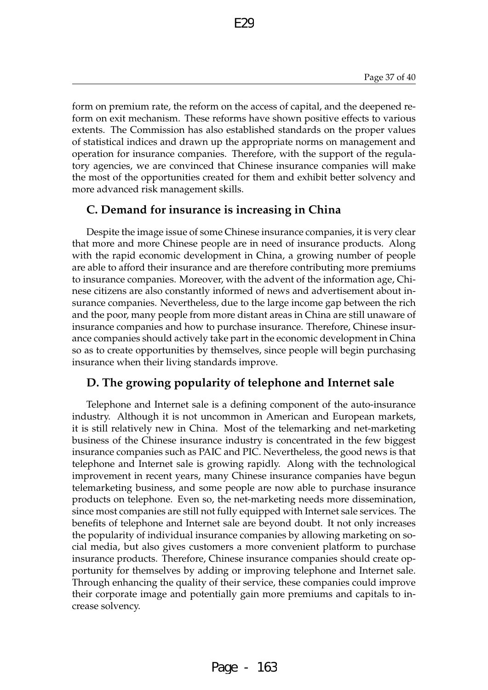form on premium rate, the reform on the access of capital, and the deepened reform on exit mechanism. These reforms have shown positive effects to various extents. The Commission has also established standards on the proper values of statistical indices and drawn up the appropriate norms on management and operation for insurance companies. Therefore, with the support of the regulatory agencies, we are convinced that Chinese insurance companies will make the most of the opportunities created for them and exhibit better solvency and more advanced risk management skills.

E29

## **C. Demand for insurance is increasing in China**

Despite the image issue of some Chinese insurance companies, it is very clear that more and more Chinese people are in need of insurance products. Along with the rapid economic development in China, a growing number of people are able to afford their insurance and are therefore contributing more premiums to insurance companies. Moreover, with the advent of the information age, Chinese citizens are also constantly informed of news and advertisement about insurance companies. Nevertheless, due to the large income gap between the rich and the poor, many people from more distant areas in China are still unaware of insurance companies and how to purchase insurance. Therefore, Chinese insurance companies should actively take part in the economic development in China so as to create opportunities by themselves, since people will begin purchasing insurance when their living standards improve.

## **D. The growing popularity of telephone and Internet sale**

Telephone and Internet sale is a defining component of the auto-insurance industry. Although it is not uncommon in American and European markets, it is still relatively new in China. Most of the telemarking and net-marketing business of the Chinese insurance industry is concentrated in the few biggest insurance companies such as PAIC and PIC. Nevertheless, the good news is that telephone and Internet sale is growing rapidly. Along with the technological improvement in recent years, many Chinese insurance companies have begun telemarketing business, and some people are now able to purchase insurance products on telephone. Even so, the net-marketing needs more dissemination, since most companies are still not fully equipped with Internet sale services. The benefits of telephone and Internet sale are beyond doubt. It not only increases the popularity of individual insurance companies by allowing marketing on social media, but also gives customers a more convenient platform to purchase insurance products. Therefore, Chinese insurance companies should create opportunity for themselves by adding or improving telephone and Internet sale. Through enhancing the quality of their service, these companies could improve their corporate image and potentially gain more premiums and capitals to increase solvency.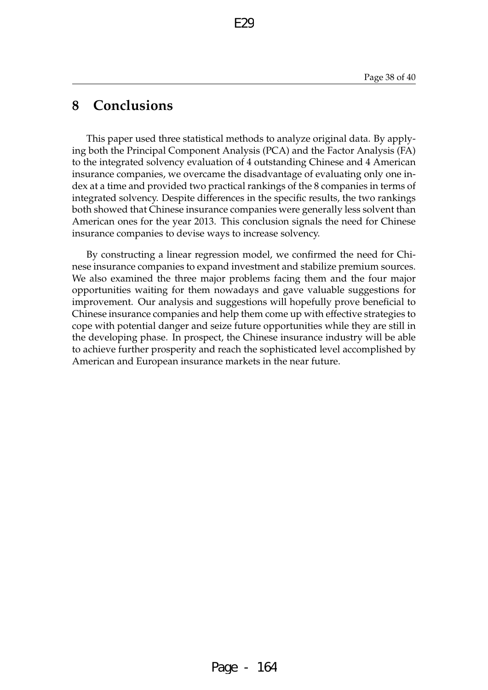# **8 Conclusions**

This paper used three statistical methods to analyze original data. By applying both the Principal Component Analysis (PCA) and the Factor Analysis (FA) to the integrated solvency evaluation of 4 outstanding Chinese and 4 American insurance companies, we overcame the disadvantage of evaluating only one index at a time and provided two practical rankings of the 8 companies in terms of integrated solvency. Despite differences in the specific results, the two rankings both showed that Chinese insurance companies were generally less solvent than American ones for the year 2013. This conclusion signals the need for Chinese insurance companies to devise ways to increase solvency.

By constructing a linear regression model, we confirmed the need for Chinese insurance companies to expand investment and stabilize premium sources. We also examined the three major problems facing them and the four major opportunities waiting for them nowadays and gave valuable suggestions for improvement. Our analysis and suggestions will hopefully prove beneficial to Chinese insurance companies and help them come up with effective strategies to cope with potential danger and seize future opportunities while they are still in the developing phase. In prospect, the Chinese insurance industry will be able to achieve further prosperity and reach the sophisticated level accomplished by American and European insurance markets in the near future.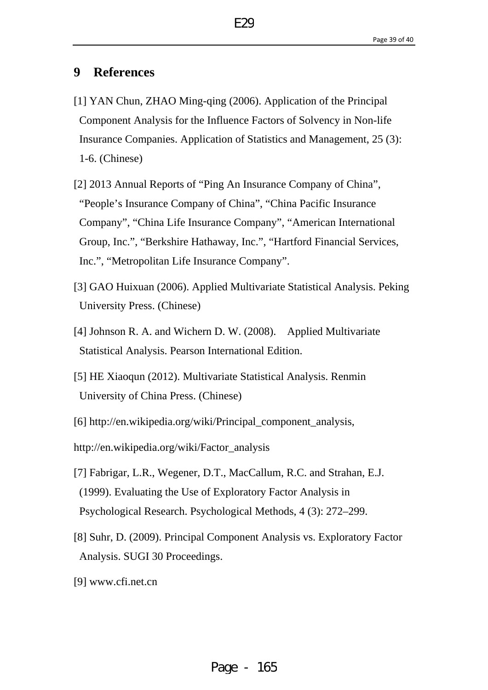# **9 References**

- [1] YAN Chun, ZHAO Ming-qing (2006). Application of the Principal Component Analysis for the Influence Factors of Solvency in Non-life Insurance Companies. Application of Statistics and Management, 25 (3): 1-6. (Chinese)
- [2] 2013 Annual Reports of "Ping An Insurance Company of China", "People's Insurance Company of China", "China Pacific Insurance Company", "China Life Insurance Company", "American International Group, Inc.", "Berkshire Hathaway, Inc.", "Hartford Financial Services, Inc.", "Metropolitan Life Insurance Company".
- [3] GAO Huixuan (2006). Applied Multivariate Statistical Analysis. Peking University Press. (Chinese)
- [4] Johnson R. A. and Wichern D. W. (2008). Applied Multivariate Statistical Analysis. Pearson International Edition.
- [5] HE Xiaoqun (2012). Multivariate Statistical Analysis. Renmin University of China Press. (Chinese)
- [6] http://en.wikipedia.org/wiki/Principal\_component\_analysis,
- http://en.wikipedia.org/wiki/Factor\_analysis
- [7] Fabrigar, L.R., Wegener, D.T., MacCallum, R.C. and Strahan, E.J. (1999). Evaluating the Use of Exploratory Factor Analysis in Psychological Research. Psychological Methods, 4 (3): 272–299.
- [8] Suhr, D. (2009). Principal Component Analysis vs. Exploratory Factor Analysis. SUGI 30 Proceedings.
- [9] [www.cfi.net.cn](http://www.cfi.net.cn/)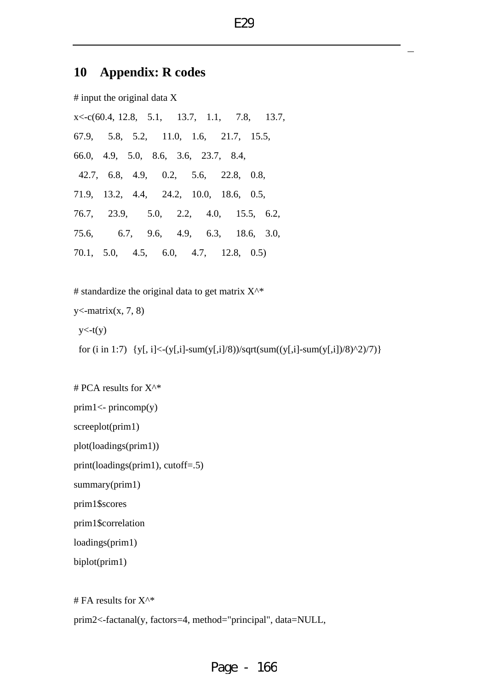# **10 Appendix: R codes**

# input the original data X x<-c(60.4, 12.8, 5.1, 13.7, 1.1, 7.8, 13.7, 67.9, 5.8, 5.2, 11.0, 1.6, 21.7, 15.5, 66.0, 4.9, 5.0, 8.6, 3.6, 23.7, 8.4, 42.7, 6.8, 4.9, 0.2, 5.6, 22.8, 0.8, 71.9, 13.2, 4.4, 24.2, 10.0, 18.6, 0.5, 76.7, 23.9, 5.0, 2.2, 4.0, 15.5, 6.2, 75.6, 6.7, 9.6, 4.9, 6.3, 18.6, 3.0, 70.1, 5.0, 4.5, 6.0, 4.7, 12.8, 0.5)

# standardize the original data to get matrix  $X^{\wedge *}$  $y$  <- matrix(x, 7, 8)  $y < -t(y)$ for (i in 1:7)  $\{y[, i] < (y[, i] - sum(y[, i]/8)$ )/sqrt(sum((y[,i]-sum(y[,i])/8)^2)/7)}

# PCA results for X^\* prim1<- princomp(y) screeplot(prim1) plot(loadings(prim1)) print(loadings(prim1), cutoff=.5) summary(prim1) prim1\$scores prim1\$correlation loadings(prim1) biplot(prim1) # FA results for  $X^{\wedge *}$ prim2<-factanal(y, factors=4, method="principal", data=NULL,